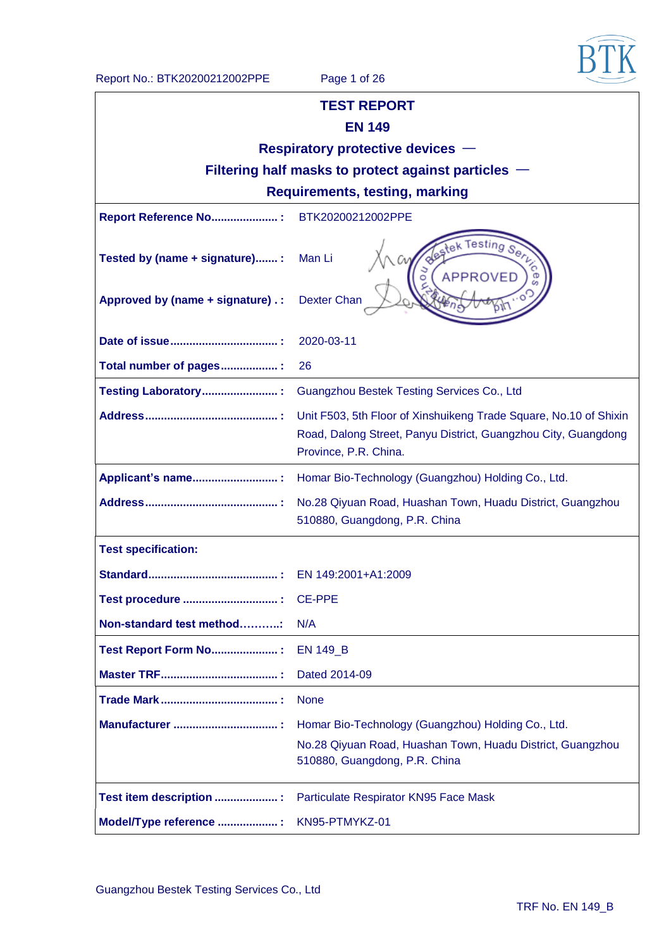

| <b>TEST REPORT</b>                                                                                                                                           |                                                                                                                                                   |  |  |  |
|--------------------------------------------------------------------------------------------------------------------------------------------------------------|---------------------------------------------------------------------------------------------------------------------------------------------------|--|--|--|
| <b>EN 149</b>                                                                                                                                                |                                                                                                                                                   |  |  |  |
| Respiratory protective devices -                                                                                                                             |                                                                                                                                                   |  |  |  |
|                                                                                                                                                              | Filtering half masks to protect against particles $-$                                                                                             |  |  |  |
|                                                                                                                                                              | <b>Requirements, testing, marking</b>                                                                                                             |  |  |  |
| Report Reference No :                                                                                                                                        | BTK20200212002PPE                                                                                                                                 |  |  |  |
| Tested by (name + signature):                                                                                                                                | Man Li                                                                                                                                            |  |  |  |
| Approved by (name + signature) . :                                                                                                                           | <b>Dexter Chan</b>                                                                                                                                |  |  |  |
|                                                                                                                                                              | 2020-03-11                                                                                                                                        |  |  |  |
| Total number of pages:                                                                                                                                       | 26                                                                                                                                                |  |  |  |
| Testing Laboratory:                                                                                                                                          | Guangzhou Bestek Testing Services Co., Ltd                                                                                                        |  |  |  |
| Unit F503, 5th Floor of Xinshuikeng Trade Square, No.10 of Shixin<br>Road, Dalong Street, Panyu District, Guangzhou City, Guangdong<br>Province, P.R. China. |                                                                                                                                                   |  |  |  |
| Homar Bio-Technology (Guangzhou) Holding Co., Ltd.<br>Applicant's name :                                                                                     |                                                                                                                                                   |  |  |  |
|                                                                                                                                                              | No.28 Qiyuan Road, Huashan Town, Huadu District, Guangzhou<br>510880, Guangdong, P.R. China                                                       |  |  |  |
| <b>Test specification:</b>                                                                                                                                   |                                                                                                                                                   |  |  |  |
|                                                                                                                                                              | EN 149:2001+A1:2009                                                                                                                               |  |  |  |
|                                                                                                                                                              | <b>CE-PPE</b>                                                                                                                                     |  |  |  |
| Non-standard test method                                                                                                                                     | N/A                                                                                                                                               |  |  |  |
| <b>Test Report Form No:</b> :                                                                                                                                | <b>EN 149_B</b>                                                                                                                                   |  |  |  |
|                                                                                                                                                              | Dated 2014-09                                                                                                                                     |  |  |  |
|                                                                                                                                                              | <b>None</b>                                                                                                                                       |  |  |  |
|                                                                                                                                                              | Homar Bio-Technology (Guangzhou) Holding Co., Ltd.<br>No.28 Qiyuan Road, Huashan Town, Huadu District, Guangzhou<br>510880, Guangdong, P.R. China |  |  |  |
| Test item description :                                                                                                                                      | Particulate Respirator KN95 Face Mask                                                                                                             |  |  |  |
| Model/Type reference :                                                                                                                                       | KN95-PTMYKZ-01                                                                                                                                    |  |  |  |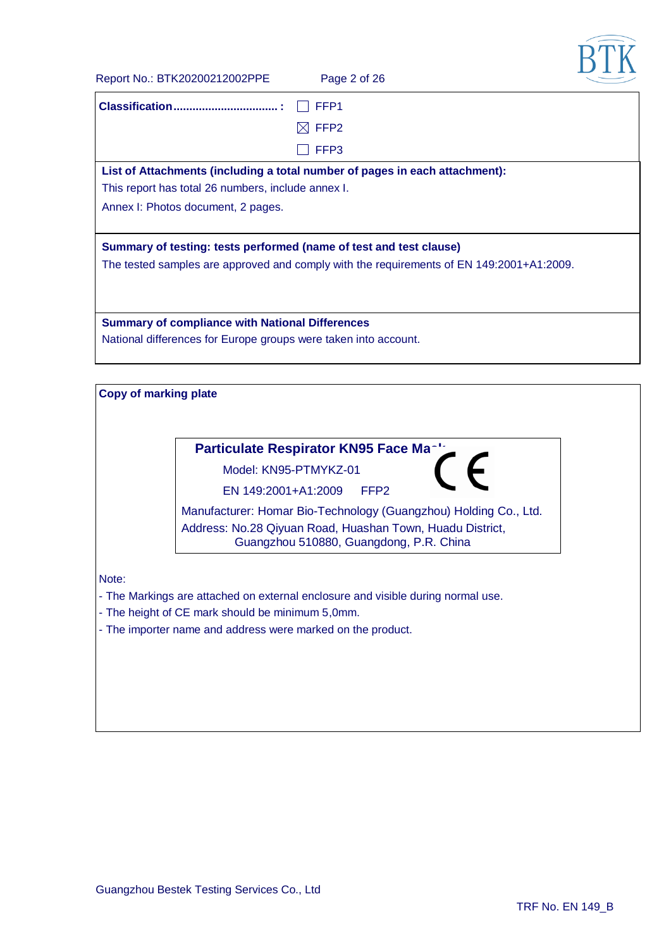**BTK** 

| Report No.: BTK20200212002PPE                                      | Page 2 of 26                                                                                         |  |
|--------------------------------------------------------------------|------------------------------------------------------------------------------------------------------|--|
|                                                                    | FFP <sub>1</sub>                                                                                     |  |
|                                                                    | FFP <sub>2</sub>                                                                                     |  |
|                                                                    | FFP3                                                                                                 |  |
|                                                                    | List of Attachments (including a total number of pages in each attachment):                          |  |
| This report has total 26 numbers, include annex I.                 |                                                                                                      |  |
| Annex I: Photos document, 2 pages.                                 |                                                                                                      |  |
| Summary of testing: tests performed (name of test and test clause) |                                                                                                      |  |
|                                                                    | The tested samples are approved and comply with the requirements of EN 149:2001+A1:2009.             |  |
|                                                                    |                                                                                                      |  |
|                                                                    |                                                                                                      |  |
| <b>Summary of compliance with National Differences</b>             |                                                                                                      |  |
| National differences for Europe groups were taken into account.    |                                                                                                      |  |
|                                                                    |                                                                                                      |  |
| <b>Copy of marking plate</b>                                       |                                                                                                      |  |
|                                                                    |                                                                                                      |  |
|                                                                    |                                                                                                      |  |
|                                                                    | Particulate Respirator KN95 Face Ma                                                                  |  |
|                                                                    | Model: KN95-PTMYKZ-01                                                                                |  |
| EN 149:2001+A1:2009                                                | FFP <sub>2</sub>                                                                                     |  |
|                                                                    | Manufacturer: Homar Bio-Technology (Guangzhou) Holding Co., Ltd.                                     |  |
|                                                                    | Address: No.28 Qiyuan Road, Huashan Town, Huadu District,<br>Guangzhou 510880, Guangdong, P.R. China |  |
|                                                                    |                                                                                                      |  |
| Note:                                                              |                                                                                                      |  |
|                                                                    | - The Markings are attached on external enclosure and visible during normal use.                     |  |
| - The height of CE mark should be minimum 5,0mm.                   |                                                                                                      |  |
| - The importer name and address were marked on the product.        |                                                                                                      |  |
|                                                                    |                                                                                                      |  |
|                                                                    |                                                                                                      |  |
|                                                                    |                                                                                                      |  |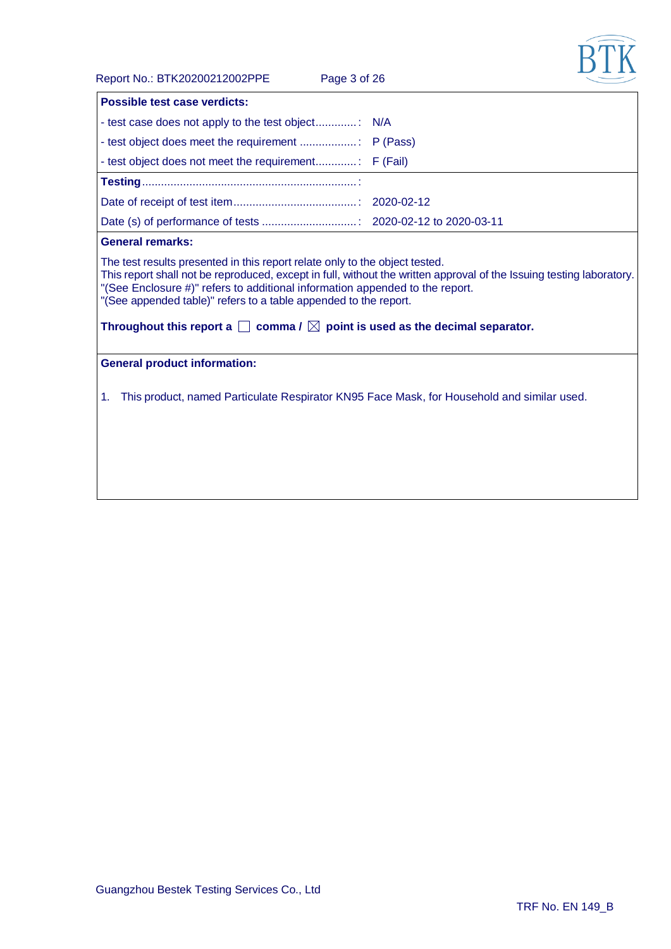

Report No.: BTK20200212002PPE Page 3 of 26

| <b>Possible test case verdicts:</b>                                                                                                                                                                                                                                                                                                                                                                                                                    |  |  |  |
|--------------------------------------------------------------------------------------------------------------------------------------------------------------------------------------------------------------------------------------------------------------------------------------------------------------------------------------------------------------------------------------------------------------------------------------------------------|--|--|--|
|                                                                                                                                                                                                                                                                                                                                                                                                                                                        |  |  |  |
|                                                                                                                                                                                                                                                                                                                                                                                                                                                        |  |  |  |
|                                                                                                                                                                                                                                                                                                                                                                                                                                                        |  |  |  |
|                                                                                                                                                                                                                                                                                                                                                                                                                                                        |  |  |  |
|                                                                                                                                                                                                                                                                                                                                                                                                                                                        |  |  |  |
|                                                                                                                                                                                                                                                                                                                                                                                                                                                        |  |  |  |
| <b>General remarks:</b>                                                                                                                                                                                                                                                                                                                                                                                                                                |  |  |  |
| The test results presented in this report relate only to the object tested.<br>This report shall not be reproduced, except in full, without the written approval of the Issuing testing laboratory.<br>"(See Enclosure #)" refers to additional information appended to the report.<br>"(See appended table)" refers to a table appended to the report.<br>Throughout this report a $\Box$ comma / $\boxtimes$ point is used as the decimal separator. |  |  |  |
| <b>General product information:</b>                                                                                                                                                                                                                                                                                                                                                                                                                    |  |  |  |
| This product, named Particulate Respirator KN95 Face Mask, for Household and similar used.<br>1.                                                                                                                                                                                                                                                                                                                                                       |  |  |  |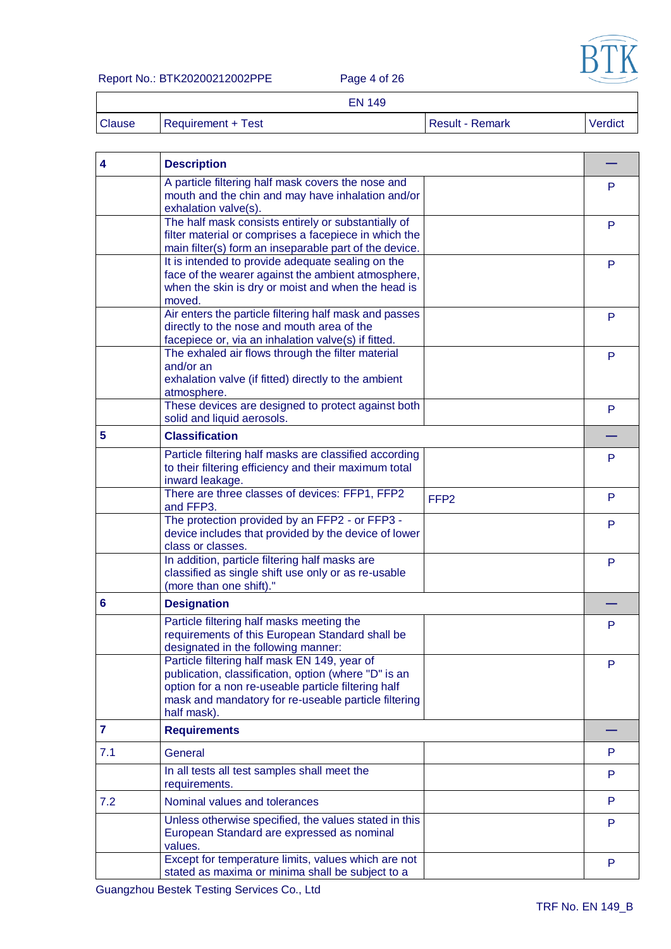

Report No.: BTK20200212002PPE Page 4 of 26

 $\Gamma$ 

EN 149

|               | CN 149             |                        |         |
|---------------|--------------------|------------------------|---------|
| <b>Clause</b> | Requirement + Test | <b>Result - Remark</b> | Verdict |

| 4            | <b>Description</b>                                                                                                                                                                                                                 |                  |   |
|--------------|------------------------------------------------------------------------------------------------------------------------------------------------------------------------------------------------------------------------------------|------------------|---|
|              | A particle filtering half mask covers the nose and<br>mouth and the chin and may have inhalation and/or<br>exhalation valve(s).                                                                                                    |                  | P |
|              | The half mask consists entirely or substantially of<br>filter material or comprises a facepiece in which the<br>main filter(s) form an inseparable part of the device.                                                             |                  | P |
|              | It is intended to provide adequate sealing on the<br>face of the wearer against the ambient atmosphere,<br>when the skin is dry or moist and when the head is<br>moved.                                                            |                  | P |
|              | Air enters the particle filtering half mask and passes<br>directly to the nose and mouth area of the<br>facepiece or, via an inhalation valve(s) if fitted.                                                                        |                  | P |
|              | The exhaled air flows through the filter material<br>and/or an<br>exhalation valve (if fitted) directly to the ambient<br>atmosphere.                                                                                              |                  | P |
|              | These devices are designed to protect against both<br>solid and liquid aerosols.                                                                                                                                                   |                  | P |
| 5            | <b>Classification</b>                                                                                                                                                                                                              |                  |   |
|              | Particle filtering half masks are classified according<br>to their filtering efficiency and their maximum total<br>inward leakage.                                                                                                 |                  | P |
|              | There are three classes of devices: FFP1, FFP2<br>and FFP3.                                                                                                                                                                        | FFP <sub>2</sub> | P |
|              | The protection provided by an FFP2 - or FFP3 -<br>device includes that provided by the device of lower<br>class or classes.                                                                                                        |                  | P |
|              | In addition, particle filtering half masks are<br>classified as single shift use only or as re-usable<br>(more than one shift)."                                                                                                   |                  | P |
| 6            | <b>Designation</b>                                                                                                                                                                                                                 |                  |   |
|              | Particle filtering half masks meeting the<br>requirements of this European Standard shall be<br>designated in the following manner:                                                                                                |                  | P |
|              | Particle filtering half mask EN 149, year of<br>publication, classification, option (where "D" is an<br>option for a non re-useable particle filtering half<br>mask and mandatory for re-useable particle filtering<br>half mask). |                  | P |
| $\mathbf{7}$ | <b>Requirements</b>                                                                                                                                                                                                                |                  |   |
| 7.1          | General                                                                                                                                                                                                                            |                  | P |
|              | In all tests all test samples shall meet the<br>requirements.                                                                                                                                                                      |                  | P |
| 7.2          | Nominal values and tolerances                                                                                                                                                                                                      |                  | P |
|              | Unless otherwise specified, the values stated in this<br>European Standard are expressed as nominal<br>values.                                                                                                                     |                  | P |
|              | Except for temperature limits, values which are not<br>stated as maxima or minima shall be subject to a                                                                                                                            |                  | P |

Guangzhou Bestek Testing Services Co., Ltd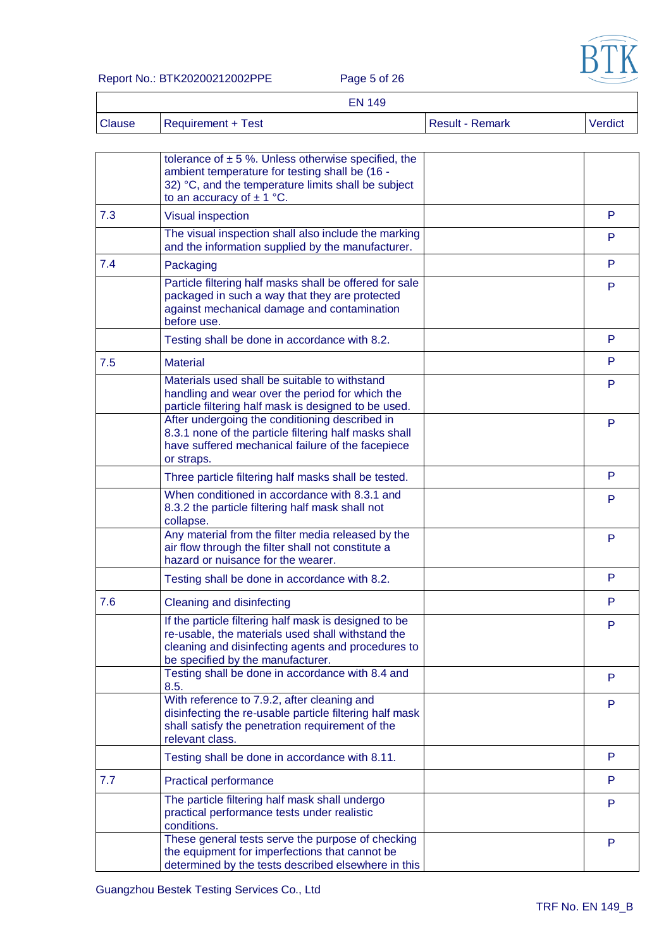

Report No.: BTK20200212002PPE Page 5 of 26

|               | <b>EN 149</b>      |                 |         |
|---------------|--------------------|-----------------|---------|
| <b>Clause</b> | Requirement + Test | Result - Remark | Verdict |

|     | tolerance of $\pm$ 5 %. Unless otherwise specified, the<br>ambient temperature for testing shall be (16 -<br>32) °C, and the temperature limits shall be subject<br>to an accuracy of $\pm$ 1 °C.     |   |
|-----|-------------------------------------------------------------------------------------------------------------------------------------------------------------------------------------------------------|---|
| 7.3 | <b>Visual inspection</b>                                                                                                                                                                              | P |
|     | The visual inspection shall also include the marking<br>and the information supplied by the manufacturer.                                                                                             | P |
| 7.4 | Packaging                                                                                                                                                                                             | P |
|     | Particle filtering half masks shall be offered for sale<br>packaged in such a way that they are protected<br>against mechanical damage and contamination<br>before use.                               | P |
|     | Testing shall be done in accordance with 8.2.                                                                                                                                                         | P |
| 7.5 | <b>Material</b>                                                                                                                                                                                       | P |
|     | Materials used shall be suitable to withstand<br>handling and wear over the period for which the<br>particle filtering half mask is designed to be used.                                              | P |
|     | After undergoing the conditioning described in<br>8.3.1 none of the particle filtering half masks shall<br>have suffered mechanical failure of the facepiece<br>or straps.                            | P |
|     | Three particle filtering half masks shall be tested.                                                                                                                                                  | P |
|     | When conditioned in accordance with 8.3.1 and<br>8.3.2 the particle filtering half mask shall not<br>collapse.                                                                                        | P |
|     | Any material from the filter media released by the<br>air flow through the filter shall not constitute a<br>hazard or nuisance for the wearer.                                                        | P |
|     | Testing shall be done in accordance with 8.2.                                                                                                                                                         | P |
| 7.6 | Cleaning and disinfecting                                                                                                                                                                             | P |
|     | If the particle filtering half mask is designed to be<br>re-usable, the materials used shall withstand the<br>cleaning and disinfecting agents and procedures to<br>be specified by the manufacturer. | P |
|     | Testing shall be done in accordance with 8.4 and<br>8.5.                                                                                                                                              | P |
|     | With reference to 7.9.2, after cleaning and<br>disinfecting the re-usable particle filtering half mask<br>shall satisfy the penetration requirement of the<br>relevant class.                         | P |
|     | Testing shall be done in accordance with 8.11.                                                                                                                                                        | P |
| 7.7 | <b>Practical performance</b>                                                                                                                                                                          | P |
|     | The particle filtering half mask shall undergo<br>practical performance tests under realistic<br>conditions.                                                                                          | P |
|     | These general tests serve the purpose of checking<br>the equipment for imperfections that cannot be<br>determined by the tests described elsewhere in this                                            | P |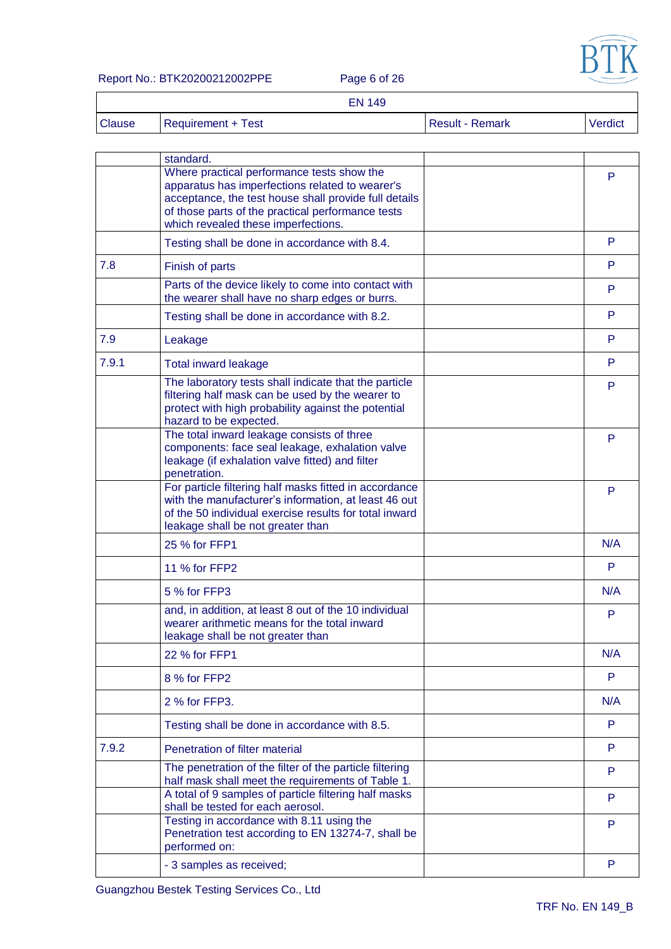

#### Report No.: BTK20200212002PPE Page 6 of 26

 $\overline{\Gamma}$ 

|               | <b>EN 149</b>             |                        |         |
|---------------|---------------------------|------------------------|---------|
| <b>Clause</b> | <b>Requirement + Test</b> | <b>Result - Remark</b> | Verdict |

|       | standard.                                                                                                                                                                                                                                          |     |
|-------|----------------------------------------------------------------------------------------------------------------------------------------------------------------------------------------------------------------------------------------------------|-----|
|       | Where practical performance tests show the<br>apparatus has imperfections related to wearer's<br>acceptance, the test house shall provide full details<br>of those parts of the practical performance tests<br>which revealed these imperfections. | P   |
|       | Testing shall be done in accordance with 8.4.                                                                                                                                                                                                      | P   |
| 7.8   | Finish of parts                                                                                                                                                                                                                                    | P   |
|       | Parts of the device likely to come into contact with<br>the wearer shall have no sharp edges or burrs.                                                                                                                                             | P   |
|       | Testing shall be done in accordance with 8.2.                                                                                                                                                                                                      | P   |
| 7.9   | Leakage                                                                                                                                                                                                                                            | P   |
| 7.9.1 | <b>Total inward leakage</b>                                                                                                                                                                                                                        | P   |
|       | The laboratory tests shall indicate that the particle<br>filtering half mask can be used by the wearer to<br>protect with high probability against the potential<br>hazard to be expected.                                                         | P   |
|       | The total inward leakage consists of three<br>components: face seal leakage, exhalation valve<br>leakage (if exhalation valve fitted) and filter<br>penetration.                                                                                   | P   |
|       | For particle filtering half masks fitted in accordance<br>with the manufacturer's information, at least 46 out<br>of the 50 individual exercise results for total inward<br>leakage shall be not greater than                                      | P   |
|       | 25 % for FFP1                                                                                                                                                                                                                                      | N/A |
|       | 11 % for FFP2                                                                                                                                                                                                                                      | P   |
|       | 5 % for FFP3                                                                                                                                                                                                                                       | N/A |
|       | and, in addition, at least 8 out of the 10 individual<br>wearer arithmetic means for the total inward<br>leakage shall be not greater than                                                                                                         | P   |
|       | 22 % for FFP1                                                                                                                                                                                                                                      | N/A |
|       | 8 % for FFP2                                                                                                                                                                                                                                       | P   |
|       | 2 % for FFP3.                                                                                                                                                                                                                                      | N/A |
|       | Testing shall be done in accordance with 8.5.                                                                                                                                                                                                      | P   |
| 7.9.2 | Penetration of filter material                                                                                                                                                                                                                     | P   |
|       | The penetration of the filter of the particle filtering<br>half mask shall meet the requirements of Table 1.                                                                                                                                       | P   |
|       | A total of 9 samples of particle filtering half masks<br>shall be tested for each aerosol.                                                                                                                                                         | P   |
|       | Testing in accordance with 8.11 using the<br>Penetration test according to EN 13274-7, shall be<br>performed on:                                                                                                                                   | P   |
|       | - 3 samples as received;                                                                                                                                                                                                                           | P   |
|       |                                                                                                                                                                                                                                                    |     |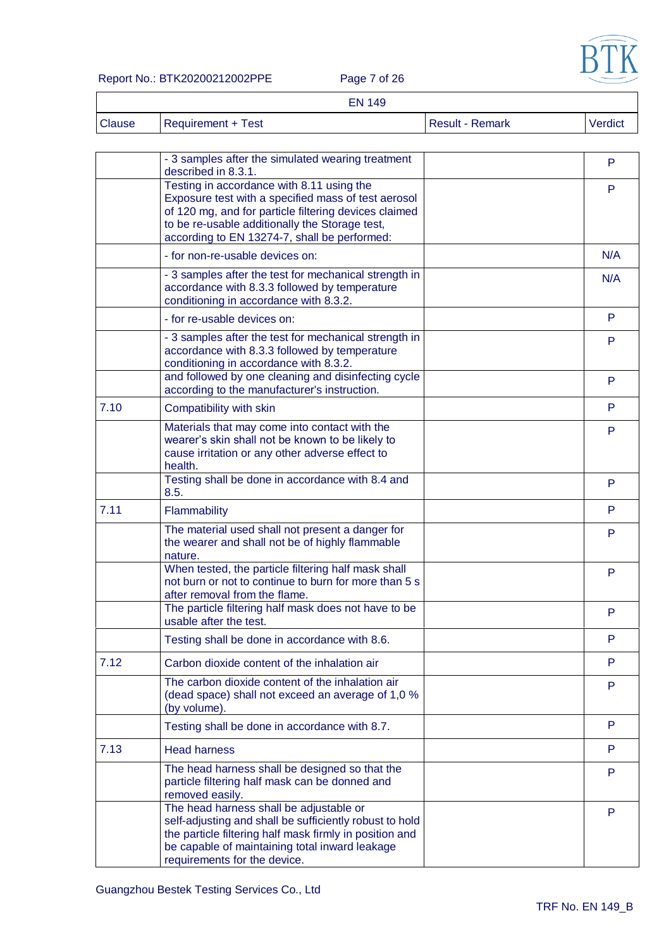

Report No.: BTK20200212002PPE Page 7 of 26

| <b>EN 149</b> |
|---------------|
|---------------|

| Clause | Requirement + Test | <b>Result - Remark</b> | Verdict |
|--------|--------------------|------------------------|---------|
|--------|--------------------|------------------------|---------|

|      | - 3 samples after the simulated wearing treatment<br>described in 8.3.1.                                                                                                                                                                                    | P   |
|------|-------------------------------------------------------------------------------------------------------------------------------------------------------------------------------------------------------------------------------------------------------------|-----|
|      | Testing in accordance with 8.11 using the<br>Exposure test with a specified mass of test aerosol<br>of 120 mg, and for particle filtering devices claimed<br>to be re-usable additionally the Storage test,<br>according to EN 13274-7, shall be performed: | P   |
|      | - for non-re-usable devices on:                                                                                                                                                                                                                             | N/A |
|      | - 3 samples after the test for mechanical strength in<br>accordance with 8.3.3 followed by temperature<br>conditioning in accordance with 8.3.2.                                                                                                            | N/A |
|      | - for re-usable devices on:                                                                                                                                                                                                                                 | P   |
|      | - 3 samples after the test for mechanical strength in<br>accordance with 8.3.3 followed by temperature<br>conditioning in accordance with 8.3.2.                                                                                                            | P   |
|      | and followed by one cleaning and disinfecting cycle<br>according to the manufacturer's instruction.                                                                                                                                                         | P   |
| 7.10 | Compatibility with skin                                                                                                                                                                                                                                     | P.  |
|      | Materials that may come into contact with the<br>wearer's skin shall not be known to be likely to<br>cause irritation or any other adverse effect to<br>health.                                                                                             | P   |
|      | Testing shall be done in accordance with 8.4 and<br>8.5.                                                                                                                                                                                                    | P   |
| 7.11 | Flammability                                                                                                                                                                                                                                                | P   |
|      | The material used shall not present a danger for<br>the wearer and shall not be of highly flammable<br>nature.                                                                                                                                              | P   |
|      | When tested, the particle filtering half mask shall<br>not burn or not to continue to burn for more than 5 s<br>after removal from the flame.                                                                                                               | P   |
|      | The particle filtering half mask does not have to be<br>usable after the test.                                                                                                                                                                              | P   |
|      | Testing shall be done in accordance with 8.6.                                                                                                                                                                                                               | P   |
| 7.12 | Carbon dioxide content of the inhalation air                                                                                                                                                                                                                | P   |
|      | The carbon dioxide content of the inhalation air<br>(dead space) shall not exceed an average of 1,0 %<br>(by volume).                                                                                                                                       | P   |
|      | Testing shall be done in accordance with 8.7.                                                                                                                                                                                                               | P   |
| 7.13 | <b>Head harness</b>                                                                                                                                                                                                                                         | P   |
|      | The head harness shall be designed so that the<br>particle filtering half mask can be donned and<br>removed easily.                                                                                                                                         | P   |
|      | The head harness shall be adjustable or<br>self-adjusting and shall be sufficiently robust to hold<br>the particle filtering half mask firmly in position and<br>be capable of maintaining total inward leakage<br>requirements for the device.             | P   |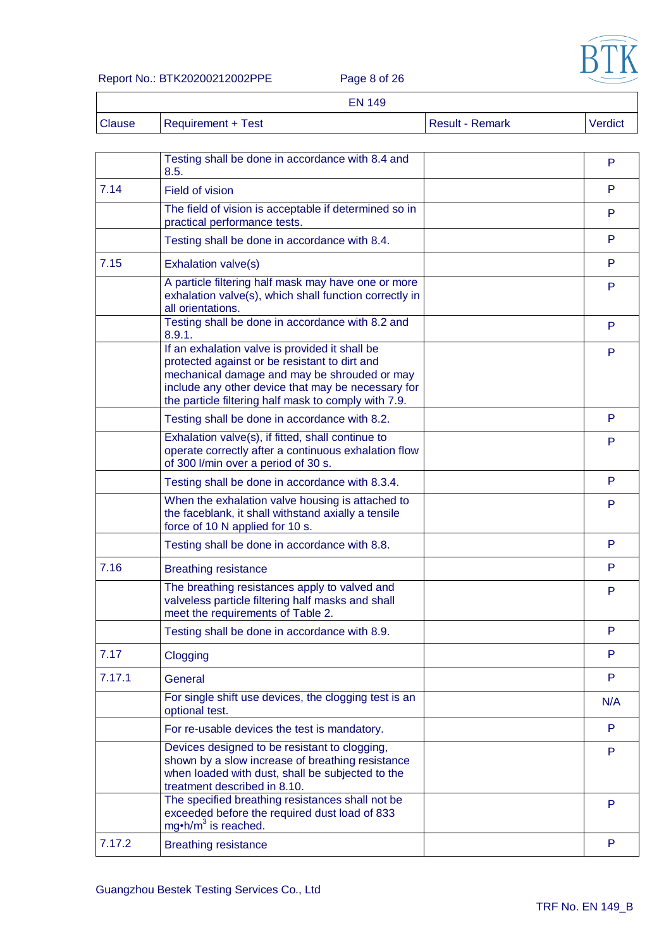

#### Report No.: BTK20200212002PPE Page 8 of 26

|               | <b>EN 149</b>             |                        |         |
|---------------|---------------------------|------------------------|---------|
| <b>Clause</b> | <b>Requirement + Test</b> | <b>Result - Remark</b> | Verdict |

|        | Testing shall be done in accordance with 8.4 and<br>8.5.                                                                                                                                                                                                      | P   |
|--------|---------------------------------------------------------------------------------------------------------------------------------------------------------------------------------------------------------------------------------------------------------------|-----|
| 7.14   | Field of vision                                                                                                                                                                                                                                               | P   |
|        | The field of vision is acceptable if determined so in<br>practical performance tests.                                                                                                                                                                         | P   |
|        | Testing shall be done in accordance with 8.4.                                                                                                                                                                                                                 | P   |
| 7.15   | Exhalation valve(s)                                                                                                                                                                                                                                           | P   |
|        | A particle filtering half mask may have one or more<br>exhalation valve(s), which shall function correctly in<br>all orientations.                                                                                                                            | P   |
|        | Testing shall be done in accordance with 8.2 and<br>8.9.1.                                                                                                                                                                                                    | P   |
|        | If an exhalation valve is provided it shall be<br>protected against or be resistant to dirt and<br>mechanical damage and may be shrouded or may<br>include any other device that may be necessary for<br>the particle filtering half mask to comply with 7.9. | P   |
|        | Testing shall be done in accordance with 8.2.                                                                                                                                                                                                                 | P   |
|        | Exhalation valve(s), if fitted, shall continue to<br>operate correctly after a continuous exhalation flow<br>of 300 l/min over a period of 30 s.                                                                                                              | P   |
|        | Testing shall be done in accordance with 8.3.4.                                                                                                                                                                                                               | P   |
|        | When the exhalation valve housing is attached to<br>the faceblank, it shall withstand axially a tensile<br>force of 10 N applied for 10 s.                                                                                                                    | P   |
|        | Testing shall be done in accordance with 8.8.                                                                                                                                                                                                                 | P   |
| 7.16   | <b>Breathing resistance</b>                                                                                                                                                                                                                                   | P   |
|        | The breathing resistances apply to valved and<br>valveless particle filtering half masks and shall<br>meet the requirements of Table 2.                                                                                                                       | P   |
|        | Testing shall be done in accordance with 8.9.                                                                                                                                                                                                                 | P   |
| 7.17   | Clogging                                                                                                                                                                                                                                                      | P   |
| 7.17.1 | General                                                                                                                                                                                                                                                       | P   |
|        | For single shift use devices, the clogging test is an<br>optional test.                                                                                                                                                                                       | N/A |
|        | For re-usable devices the test is mandatory.                                                                                                                                                                                                                  | P   |
|        | Devices designed to be resistant to clogging,<br>shown by a slow increase of breathing resistance<br>when loaded with dust, shall be subjected to the<br>treatment described in 8.10.                                                                         | P   |
|        | The specified breathing resistances shall not be<br>exceeded before the required dust load of 833<br>mg $\cdot$ h/m <sup>3</sup> is reached.                                                                                                                  | P   |
| 7.17.2 | <b>Breathing resistance</b>                                                                                                                                                                                                                                   | P   |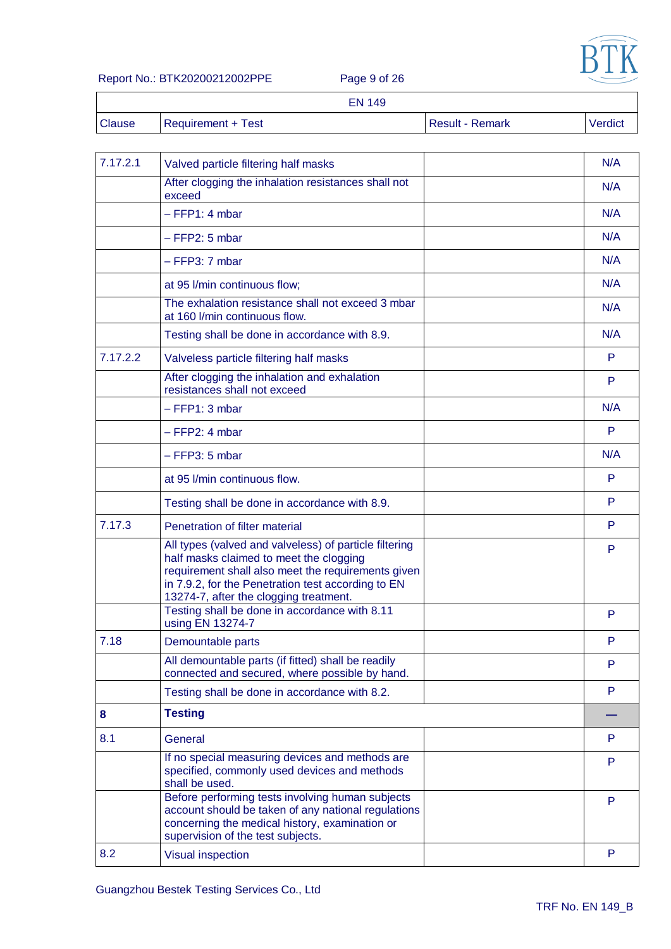

#### Report No.: BTK20200212002PPE Page 9 of 26

|               | <b>EN 149</b>      |                        |         |
|---------------|--------------------|------------------------|---------|
| <b>Clause</b> | Requirement + Test | <b>Result - Remark</b> | Verdict |

| 7.17.2.1 | Valved particle filtering half masks                                                                                                                                                                                                                    | N/A |
|----------|---------------------------------------------------------------------------------------------------------------------------------------------------------------------------------------------------------------------------------------------------------|-----|
|          | After clogging the inhalation resistances shall not<br>exceed                                                                                                                                                                                           | N/A |
|          | $-$ FFP1: 4 mbar                                                                                                                                                                                                                                        | N/A |
|          | $-$ FFP2: 5 mbar                                                                                                                                                                                                                                        | N/A |
|          | $-$ FFP3: 7 mbar                                                                                                                                                                                                                                        | N/A |
|          | at 95 I/min continuous flow;                                                                                                                                                                                                                            | N/A |
|          | The exhalation resistance shall not exceed 3 mbar<br>at 160 I/min continuous flow.                                                                                                                                                                      | N/A |
|          | Testing shall be done in accordance with 8.9.                                                                                                                                                                                                           | N/A |
| 7.17.2.2 | Valveless particle filtering half masks                                                                                                                                                                                                                 | P   |
|          | After clogging the inhalation and exhalation<br>resistances shall not exceed                                                                                                                                                                            | P   |
|          | $-$ FFP1: 3 mbar                                                                                                                                                                                                                                        | N/A |
|          | $-$ FFP2: 4 mbar                                                                                                                                                                                                                                        | P   |
|          | $-$ FFP3: 5 mbar                                                                                                                                                                                                                                        | N/A |
|          | at 95 I/min continuous flow.                                                                                                                                                                                                                            | P   |
|          | Testing shall be done in accordance with 8.9.                                                                                                                                                                                                           | P   |
| 7.17.3   | Penetration of filter material                                                                                                                                                                                                                          | P   |
|          | All types (valved and valveless) of particle filtering<br>half masks claimed to meet the clogging<br>requirement shall also meet the requirements given<br>in 7.9.2, for the Penetration test according to EN<br>13274-7, after the clogging treatment. | P   |
|          | Testing shall be done in accordance with 8.11<br>using EN 13274-7                                                                                                                                                                                       | P   |
| 7.18     | Demountable parts                                                                                                                                                                                                                                       | P   |
|          | All demountable parts (if fitted) shall be readily<br>connected and secured, where possible by hand.                                                                                                                                                    | P   |
|          | Testing shall be done in accordance with 8.2.                                                                                                                                                                                                           | P   |
| 8        | <b>Testing</b>                                                                                                                                                                                                                                          |     |
| 8.1      | General                                                                                                                                                                                                                                                 | P   |
|          | If no special measuring devices and methods are<br>specified, commonly used devices and methods<br>shall be used.                                                                                                                                       | P   |
|          | Before performing tests involving human subjects<br>account should be taken of any national regulations<br>concerning the medical history, examination or<br>supervision of the test subjects.                                                          | P   |
| 8.2      | <b>Visual inspection</b>                                                                                                                                                                                                                                | P   |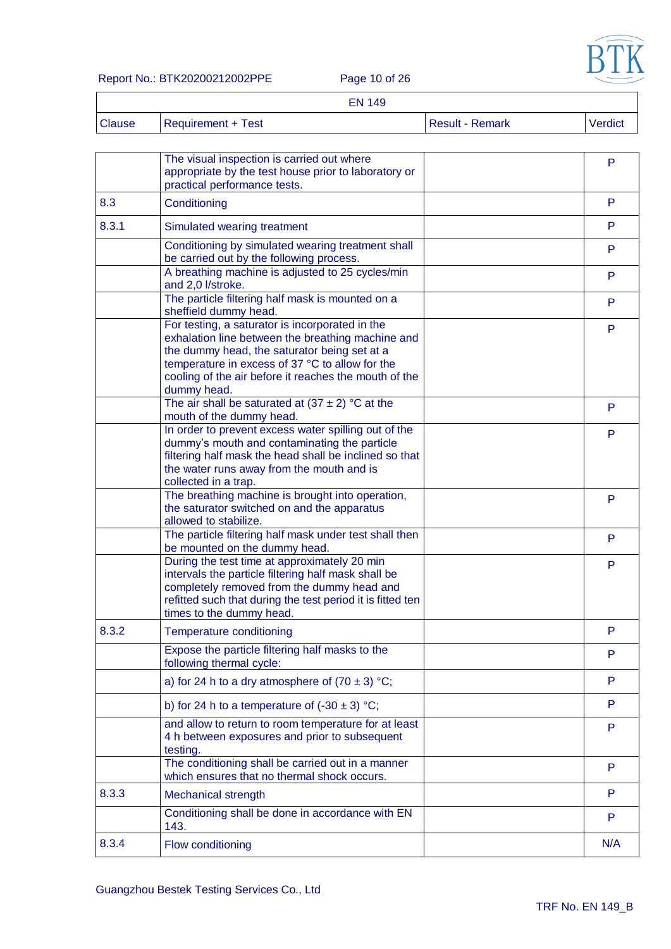

#### Report No.: BTK20200212002PPE Page 10 of 26

 $\overline{\Gamma}$ 

|               | <b>EN 149</b>             |                        |         |
|---------------|---------------------------|------------------------|---------|
| <b>Clause</b> | <b>Requirement + Test</b> | <b>Result - Remark</b> | Verdict |

|       | The visual inspection is carried out where<br>appropriate by the test house prior to laboratory or<br>practical performance tests.                                                                                                                                              | P   |
|-------|---------------------------------------------------------------------------------------------------------------------------------------------------------------------------------------------------------------------------------------------------------------------------------|-----|
| 8.3   | Conditioning                                                                                                                                                                                                                                                                    | P   |
| 8.3.1 | Simulated wearing treatment                                                                                                                                                                                                                                                     | P   |
|       | Conditioning by simulated wearing treatment shall<br>be carried out by the following process.                                                                                                                                                                                   | P   |
|       | A breathing machine is adjusted to 25 cycles/min<br>and 2,0 l/stroke.                                                                                                                                                                                                           | P   |
|       | The particle filtering half mask is mounted on a<br>sheffield dummy head.                                                                                                                                                                                                       | P   |
|       | For testing, a saturator is incorporated in the<br>exhalation line between the breathing machine and<br>the dummy head, the saturator being set at a<br>temperature in excess of 37 °C to allow for the<br>cooling of the air before it reaches the mouth of the<br>dummy head. | P   |
|       | The air shall be saturated at $(37 \pm 2)$ °C at the<br>mouth of the dummy head.                                                                                                                                                                                                | P   |
|       | In order to prevent excess water spilling out of the<br>dummy's mouth and contaminating the particle<br>filtering half mask the head shall be inclined so that<br>the water runs away from the mouth and is<br>collected in a trap.                                             | P   |
|       | The breathing machine is brought into operation,<br>the saturator switched on and the apparatus<br>allowed to stabilize.                                                                                                                                                        | P   |
|       | The particle filtering half mask under test shall then<br>be mounted on the dummy head.                                                                                                                                                                                         | P   |
|       | During the test time at approximately 20 min<br>intervals the particle filtering half mask shall be<br>completely removed from the dummy head and<br>refitted such that during the test period it is fitted ten<br>times to the dummy head.                                     | P   |
| 8.3.2 | Temperature conditioning                                                                                                                                                                                                                                                        | P   |
|       | Expose the particle filtering half masks to the<br>following thermal cycle:                                                                                                                                                                                                     | P   |
|       | a) for 24 h to a dry atmosphere of $(70 \pm 3)$ °C;                                                                                                                                                                                                                             | P   |
|       | b) for 24 h to a temperature of $(-30 \pm 3)$ °C;                                                                                                                                                                                                                               | P   |
|       | and allow to return to room temperature for at least<br>4 h between exposures and prior to subsequent<br>testing.                                                                                                                                                               | P   |
|       | The conditioning shall be carried out in a manner<br>which ensures that no thermal shock occurs.                                                                                                                                                                                | P   |
| 8.3.3 | Mechanical strength                                                                                                                                                                                                                                                             | P   |
|       | Conditioning shall be done in accordance with EN<br>143.                                                                                                                                                                                                                        | P   |
| 8.3.4 | Flow conditioning                                                                                                                                                                                                                                                               | N/A |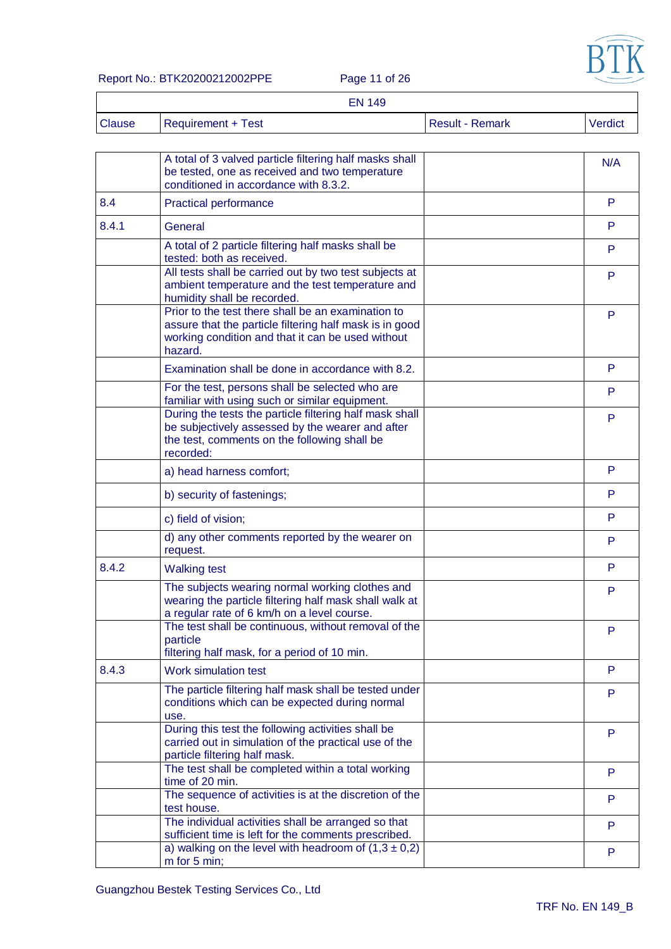

Report No.: BTK20200212002PPE Page 11 of 26

|               | <b>EN 149</b>      |                        |         |
|---------------|--------------------|------------------------|---------|
| <b>Clause</b> | Requirement + Test | <b>Result - Remark</b> | Verdict |

|       | A total of 3 valved particle filtering half masks shall<br>be tested, one as received and two temperature<br>conditioned in accordance with 8.3.2.                            | N/A |
|-------|-------------------------------------------------------------------------------------------------------------------------------------------------------------------------------|-----|
| 8.4   | <b>Practical performance</b>                                                                                                                                                  | P   |
| 8.4.1 | General                                                                                                                                                                       | P   |
|       | A total of 2 particle filtering half masks shall be<br>tested: both as received.                                                                                              | P   |
|       | All tests shall be carried out by two test subjects at<br>ambient temperature and the test temperature and<br>humidity shall be recorded.                                     | P   |
|       | Prior to the test there shall be an examination to<br>assure that the particle filtering half mask is in good<br>working condition and that it can be used without<br>hazard. | P   |
|       | Examination shall be done in accordance with 8.2.                                                                                                                             | P   |
|       | For the test, persons shall be selected who are<br>familiar with using such or similar equipment.                                                                             | P   |
|       | During the tests the particle filtering half mask shall<br>be subjectively assessed by the wearer and after<br>the test, comments on the following shall be<br>recorded:      | P   |
|       | a) head harness comfort;                                                                                                                                                      | P   |
|       | b) security of fastenings;                                                                                                                                                    | P   |
|       | c) field of vision;                                                                                                                                                           | P   |
|       | d) any other comments reported by the wearer on<br>request.                                                                                                                   | P   |
| 8.4.2 | <b>Walking test</b>                                                                                                                                                           | P   |
|       | The subjects wearing normal working clothes and<br>wearing the particle filtering half mask shall walk at<br>a regular rate of 6 km/h on a level course.                      | P   |
|       | The test shall be continuous, without removal of the<br>particle<br>filtering half mask, for a period of 10 min.                                                              | P   |
| 8.4.3 | Work simulation test                                                                                                                                                          | P   |
|       | The particle filtering half mask shall be tested under<br>conditions which can be expected during normal<br>use.                                                              | P   |
|       | During this test the following activities shall be<br>carried out in simulation of the practical use of the<br>particle filtering half mask.                                  | P   |
|       | The test shall be completed within a total working<br>time of 20 min.                                                                                                         | P   |
|       | The sequence of activities is at the discretion of the<br>test house.                                                                                                         | P   |
|       | The individual activities shall be arranged so that<br>sufficient time is left for the comments prescribed.                                                                   | P   |
|       | a) walking on the level with headroom of $(1,3 \pm 0,2)$<br>m for 5 min;                                                                                                      | P   |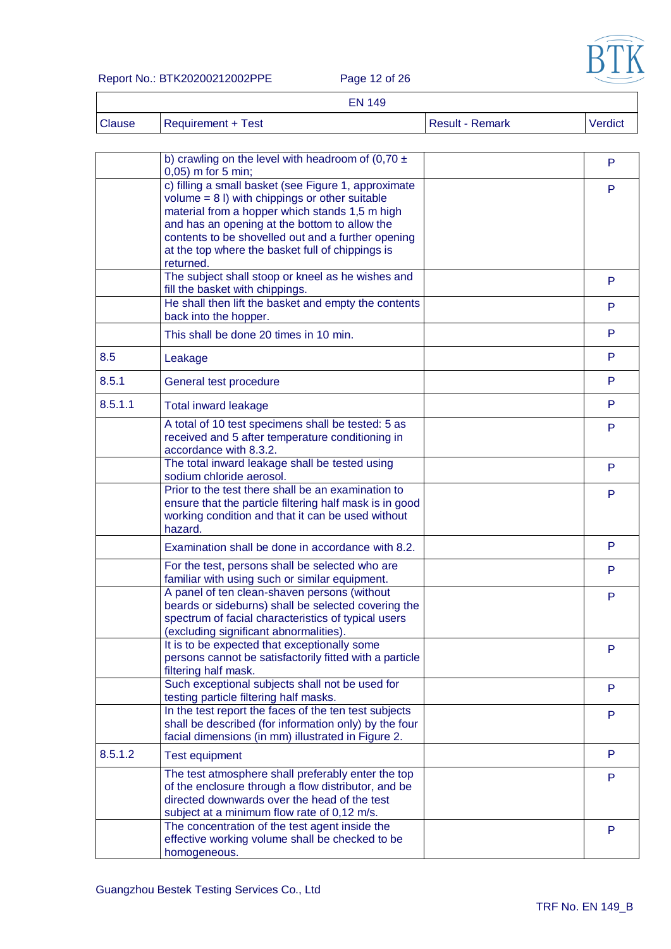

Report No.: BTK20200212002PPE Page 12 of 26

|               | <b>EN 149</b>      |                 |         |
|---------------|--------------------|-----------------|---------|
| <b>Clause</b> | Requirement + Test | Result - Remark | Verdict |

|         | b) crawling on the level with headroom of (0,70 $\pm$<br>$0,05$ ) m for 5 min;                                                                                                                                                                                                                                                     | P  |
|---------|------------------------------------------------------------------------------------------------------------------------------------------------------------------------------------------------------------------------------------------------------------------------------------------------------------------------------------|----|
|         | c) filling a small basket (see Figure 1, approximate<br>volume $= 8$ I) with chippings or other suitable<br>material from a hopper which stands 1,5 m high<br>and has an opening at the bottom to allow the<br>contents to be shovelled out and a further opening<br>at the top where the basket full of chippings is<br>returned. | P  |
|         | The subject shall stoop or kneel as he wishes and<br>fill the basket with chippings.                                                                                                                                                                                                                                               | P  |
|         | He shall then lift the basket and empty the contents<br>back into the hopper.                                                                                                                                                                                                                                                      | P  |
|         | This shall be done 20 times in 10 min.                                                                                                                                                                                                                                                                                             | P  |
| 8.5     | Leakage                                                                                                                                                                                                                                                                                                                            | P  |
| 8.5.1   | General test procedure                                                                                                                                                                                                                                                                                                             | P. |
| 8.5.1.1 | <b>Total inward leakage</b>                                                                                                                                                                                                                                                                                                        | P  |
|         | A total of 10 test specimens shall be tested: 5 as<br>received and 5 after temperature conditioning in<br>accordance with 8.3.2.                                                                                                                                                                                                   | P  |
|         | The total inward leakage shall be tested using<br>sodium chloride aerosol.                                                                                                                                                                                                                                                         | P  |
|         | Prior to the test there shall be an examination to<br>ensure that the particle filtering half mask is in good<br>working condition and that it can be used without<br>hazard.                                                                                                                                                      | P  |
|         | Examination shall be done in accordance with 8.2.                                                                                                                                                                                                                                                                                  | P  |
|         | For the test, persons shall be selected who are<br>familiar with using such or similar equipment.                                                                                                                                                                                                                                  | P. |
|         | A panel of ten clean-shaven persons (without<br>beards or sideburns) shall be selected covering the<br>spectrum of facial characteristics of typical users<br>(excluding significant abnormalities).                                                                                                                               | P  |
|         | It is to be expected that exceptionally some<br>persons cannot be satisfactorily fitted with a particle<br>filtering half mask.                                                                                                                                                                                                    | P  |
|         | Such exceptional subjects shall not be used for<br>testing particle filtering half masks.                                                                                                                                                                                                                                          | P  |
|         | In the test report the faces of the ten test subjects<br>shall be described (for information only) by the four<br>facial dimensions (in mm) illustrated in Figure 2.                                                                                                                                                               | P  |
| 8.5.1.2 | <b>Test equipment</b>                                                                                                                                                                                                                                                                                                              | P  |
|         | The test atmosphere shall preferably enter the top<br>of the enclosure through a flow distributor, and be<br>directed downwards over the head of the test<br>subject at a minimum flow rate of 0,12 m/s.                                                                                                                           | P  |
|         | The concentration of the test agent inside the<br>effective working volume shall be checked to be<br>homogeneous.                                                                                                                                                                                                                  | P  |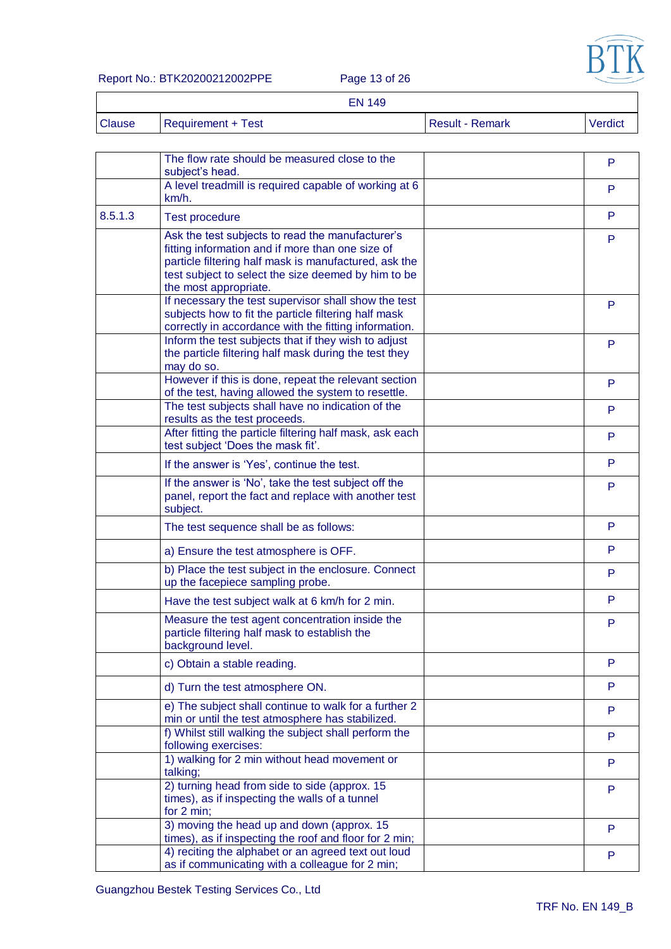

#### Report No.: BTK20200212002PPE Page 13 of 26

|               |                           | <b>EN 149</b> |                 |         |
|---------------|---------------------------|---------------|-----------------|---------|
| <b>Clause</b> | <b>Requirement + Test</b> |               | Result - Remark | Verdict |

|         | The flow rate should be measured close to the<br>subject's head.                                                                                                                                                                              | P  |
|---------|-----------------------------------------------------------------------------------------------------------------------------------------------------------------------------------------------------------------------------------------------|----|
|         | A level treadmill is required capable of working at 6<br>$km/h$ .                                                                                                                                                                             | P  |
| 8.5.1.3 | <b>Test procedure</b>                                                                                                                                                                                                                         | P  |
|         | Ask the test subjects to read the manufacturer's<br>fitting information and if more than one size of<br>particle filtering half mask is manufactured, ask the<br>test subject to select the size deemed by him to be<br>the most appropriate. | P  |
|         | If necessary the test supervisor shall show the test<br>subjects how to fit the particle filtering half mask<br>correctly in accordance with the fitting information.                                                                         | P  |
|         | Inform the test subjects that if they wish to adjust<br>the particle filtering half mask during the test they<br>may do so.                                                                                                                   | P  |
|         | However if this is done, repeat the relevant section<br>of the test, having allowed the system to resettle.                                                                                                                                   | P  |
|         | The test subjects shall have no indication of the<br>results as the test proceeds.                                                                                                                                                            | P. |
|         | After fitting the particle filtering half mask, ask each<br>test subject 'Does the mask fit'.                                                                                                                                                 | P. |
|         | If the answer is 'Yes', continue the test.                                                                                                                                                                                                    | P  |
|         | If the answer is 'No', take the test subject off the<br>panel, report the fact and replace with another test<br>subject.                                                                                                                      | P  |
|         | The test sequence shall be as follows:                                                                                                                                                                                                        | P  |
|         | a) Ensure the test atmosphere is OFF.                                                                                                                                                                                                         | P  |
|         | b) Place the test subject in the enclosure. Connect<br>up the facepiece sampling probe.                                                                                                                                                       | P  |
|         | Have the test subject walk at 6 km/h for 2 min.                                                                                                                                                                                               | P  |
|         | Measure the test agent concentration inside the<br>particle filtering half mask to establish the<br>background level.                                                                                                                         | P  |
|         | c) Obtain a stable reading.                                                                                                                                                                                                                   | P  |
|         | d) Turn the test atmosphere ON.                                                                                                                                                                                                               | P. |
|         | e) The subject shall continue to walk for a further 2<br>min or until the test atmosphere has stabilized.                                                                                                                                     | P  |
|         | f) Whilst still walking the subject shall perform the<br>following exercises:                                                                                                                                                                 | P  |
|         | 1) walking for 2 min without head movement or<br>talking;                                                                                                                                                                                     | P  |
|         | 2) turning head from side to side (approx. 15<br>times), as if inspecting the walls of a tunnel<br>for 2 min;                                                                                                                                 | P  |
|         | 3) moving the head up and down (approx. 15<br>times), as if inspecting the roof and floor for 2 min;                                                                                                                                          | P  |
|         | 4) reciting the alphabet or an agreed text out loud<br>as if communicating with a colleague for 2 min;                                                                                                                                        | P  |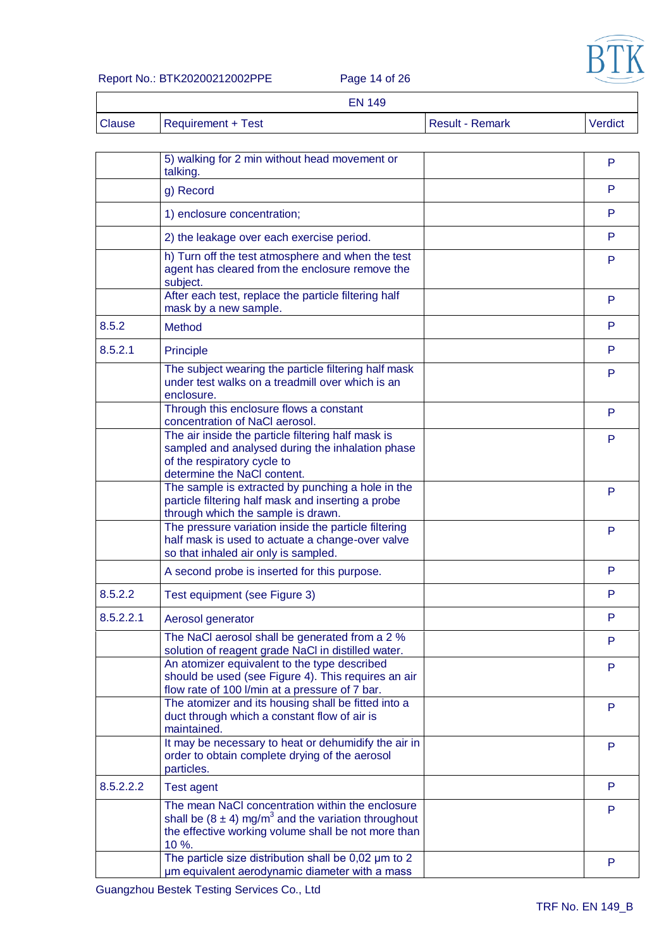

# Report No.: BTK20200212002PPE Page 14 of 26

EN 149

| u |  |  | - |  |
|---|--|--|---|--|

| ark |  |  |  |
|-----|--|--|--|
|-----|--|--|--|

| Clause | Requirement + Test | Result - Remark | Verdict |
|--------|--------------------|-----------------|---------|
|        |                    |                 |         |

|           | 5) walking for 2 min without head movement or<br>talking.                                                                                                                               | P      |
|-----------|-----------------------------------------------------------------------------------------------------------------------------------------------------------------------------------------|--------|
|           | g) Record                                                                                                                                                                               | P      |
|           | 1) enclosure concentration;                                                                                                                                                             | P      |
|           | 2) the leakage over each exercise period.                                                                                                                                               | P      |
|           | h) Turn off the test atmosphere and when the test<br>agent has cleared from the enclosure remove the<br>subject.<br>After each test, replace the particle filtering half                | P<br>P |
|           | mask by a new sample.                                                                                                                                                                   |        |
| 8.5.2     | Method                                                                                                                                                                                  | P      |
| 8.5.2.1   | Principle                                                                                                                                                                               | P      |
|           | The subject wearing the particle filtering half mask<br>under test walks on a treadmill over which is an<br>enclosure.                                                                  | P      |
|           | Through this enclosure flows a constant<br>concentration of NaCl aerosol.                                                                                                               | P      |
|           | The air inside the particle filtering half mask is<br>sampled and analysed during the inhalation phase<br>of the respiratory cycle to<br>determine the NaCl content.                    | P      |
|           | The sample is extracted by punching a hole in the<br>particle filtering half mask and inserting a probe<br>through which the sample is drawn.                                           | P      |
|           | The pressure variation inside the particle filtering<br>half mask is used to actuate a change-over valve<br>so that inhaled air only is sampled.                                        | P      |
|           | A second probe is inserted for this purpose.                                                                                                                                            | P      |
| 8.5.2.2   | Test equipment (see Figure 3)                                                                                                                                                           | P      |
| 8.5.2.2.1 | Aerosol generator                                                                                                                                                                       | P      |
|           | The NaCl aerosol shall be generated from a 2 %<br>solution of reagent grade NaCl in distilled water.                                                                                    | P      |
|           | An atomizer equivalent to the type described<br>should be used (see Figure 4). This requires an air<br>flow rate of 100 l/min at a pressure of 7 bar.                                   | P      |
|           | The atomizer and its housing shall be fitted into a<br>duct through which a constant flow of air is<br>maintained.                                                                      | P      |
|           | It may be necessary to heat or dehumidify the air in<br>order to obtain complete drying of the aerosol<br>particles.                                                                    | P      |
| 8.5.2.2.2 | <b>Test agent</b>                                                                                                                                                                       | P      |
|           | The mean NaCl concentration within the enclosure<br>shall be $(8 \pm 4)$ mg/m <sup>3</sup> and the variation throughout<br>the effective working volume shall be not more than<br>10 %. | P      |
|           | The particle size distribution shall be $0,02 \mu m$ to 2<br>um equivalent aerodynamic diameter with a mass                                                                             | P      |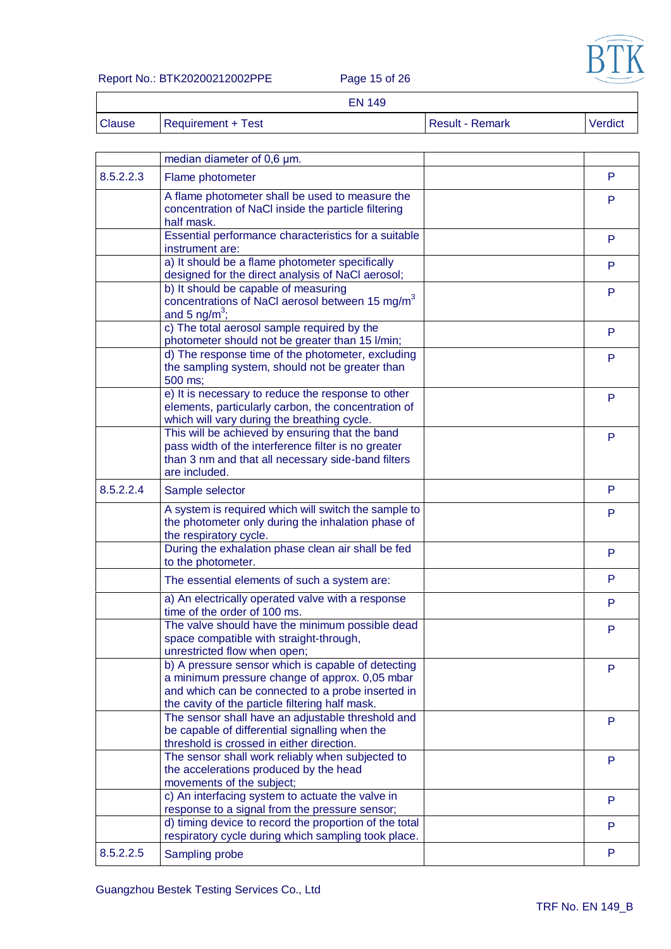

Report No.: BTK20200212002PPE Page 15 of 26

|               | <b>EN 149</b>      |                        |                |
|---------------|--------------------|------------------------|----------------|
| <b>Clause</b> | Requirement + Test | <b>Result - Remark</b> | <b>Verdict</b> |

|           | median diameter of 0,6 µm.                                                                                                                                                                                   |   |
|-----------|--------------------------------------------------------------------------------------------------------------------------------------------------------------------------------------------------------------|---|
| 8.5.2.2.3 | Flame photometer                                                                                                                                                                                             | P |
|           | A flame photometer shall be used to measure the<br>concentration of NaCl inside the particle filtering<br>half mask.                                                                                         | P |
|           | Essential performance characteristics for a suitable<br>instrument are:                                                                                                                                      | P |
|           | a) It should be a flame photometer specifically<br>designed for the direct analysis of NaCl aerosol;                                                                                                         | P |
|           | b) It should be capable of measuring<br>concentrations of NaCl aerosol between 15 mg/m <sup>3</sup><br>and 5 $ng/m^3$ ;                                                                                      | P |
|           | c) The total aerosol sample required by the<br>photometer should not be greater than 15 l/min;                                                                                                               | P |
|           | d) The response time of the photometer, excluding<br>the sampling system, should not be greater than<br>500 ms;                                                                                              | P |
|           | e) It is necessary to reduce the response to other<br>elements, particularly carbon, the concentration of<br>which will vary during the breathing cycle.                                                     | P |
|           | This will be achieved by ensuring that the band<br>pass width of the interference filter is no greater<br>than 3 nm and that all necessary side-band filters<br>are included.                                | P |
| 8.5.2.2.4 | Sample selector                                                                                                                                                                                              | P |
|           | A system is required which will switch the sample to<br>the photometer only during the inhalation phase of<br>the respiratory cycle.                                                                         | P |
|           | During the exhalation phase clean air shall be fed<br>to the photometer.                                                                                                                                     | P |
|           | The essential elements of such a system are:                                                                                                                                                                 | P |
|           | a) An electrically operated valve with a response<br>time of the order of 100 ms.                                                                                                                            | P |
|           | The valve should have the minimum possible dead<br>space compatible with straight-through,<br>unrestricted flow when open;                                                                                   | P |
|           | b) A pressure sensor which is capable of detecting<br>a minimum pressure change of approx. 0,05 mbar<br>and which can be connected to a probe inserted in<br>the cavity of the particle filtering half mask. | P |
|           | The sensor shall have an adjustable threshold and<br>be capable of differential signalling when the<br>threshold is crossed in either direction.                                                             | P |
|           | The sensor shall work reliably when subjected to<br>the accelerations produced by the head<br>movements of the subject;                                                                                      | P |
|           | c) An interfacing system to actuate the valve in<br>response to a signal from the pressure sensor;                                                                                                           | P |
|           | d) timing device to record the proportion of the total<br>respiratory cycle during which sampling took place.                                                                                                | P |
| 8.5.2.2.5 | Sampling probe                                                                                                                                                                                               | P |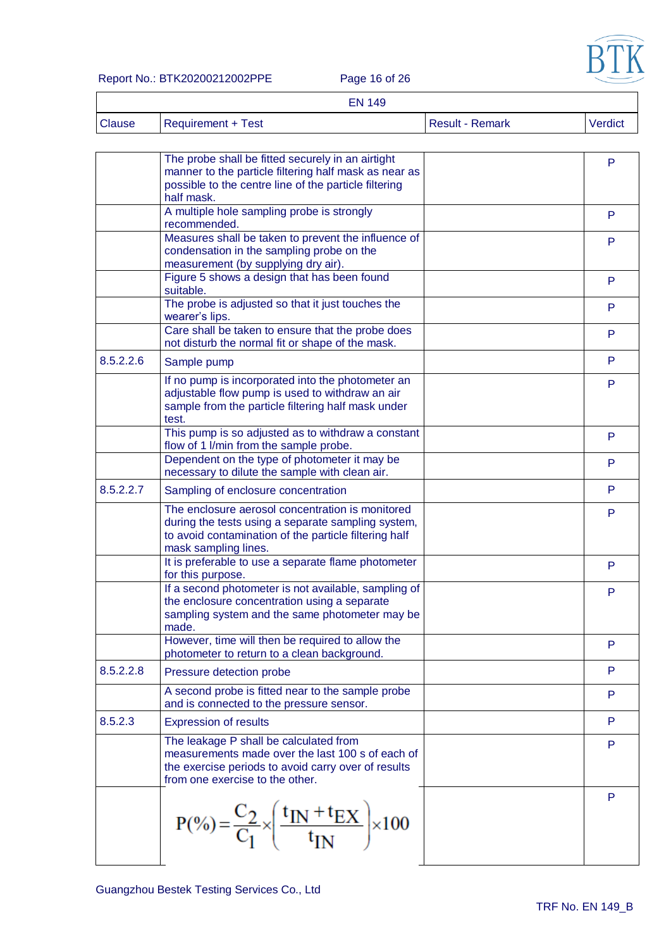

#### Report No.: BTK20200212002PPE Page 16 of 26

 $\overline{\Gamma}$ 

|               | <b>EN 149</b>      |                        |         |
|---------------|--------------------|------------------------|---------|
| <b>Clause</b> | Requirement + Test | <b>Result - Remark</b> | Verdict |

|           | The probe shall be fitted securely in an airtight                               |   |
|-----------|---------------------------------------------------------------------------------|---|
|           | manner to the particle filtering half mask as near as                           | P |
|           | possible to the centre line of the particle filtering                           |   |
|           | half mask.                                                                      |   |
|           | A multiple hole sampling probe is strongly                                      |   |
|           | recommended.                                                                    | P |
|           | Measures shall be taken to prevent the influence of                             |   |
|           | condensation in the sampling probe on the                                       | P |
|           | measurement (by supplying dry air).                                             |   |
|           | Figure 5 shows a design that has been found                                     | P |
|           | suitable.                                                                       |   |
|           | The probe is adjusted so that it just touches the                               | P |
|           | wearer's lips.                                                                  |   |
|           | Care shall be taken to ensure that the probe does                               | P |
|           | not disturb the normal fit or shape of the mask.                                |   |
| 8.5.2.2.6 | Sample pump                                                                     | P |
|           |                                                                                 |   |
|           | If no pump is incorporated into the photometer an                               | P |
|           | adjustable flow pump is used to withdraw an air                                 |   |
|           | sample from the particle filtering half mask under                              |   |
|           | test.                                                                           |   |
|           | This pump is so adjusted as to withdraw a constant                              | P |
|           | flow of 1 I/min from the sample probe.                                          |   |
|           | Dependent on the type of photometer it may be                                   | P |
|           | necessary to dilute the sample with clean air.                                  |   |
| 8.5.2.2.7 | Sampling of enclosure concentration                                             | P |
|           | The enclosure aerosol concentration is monitored                                | P |
|           | during the tests using a separate sampling system,                              |   |
|           | to avoid contamination of the particle filtering half                           |   |
|           | mask sampling lines.                                                            |   |
|           | It is preferable to use a separate flame photometer                             | P |
|           | for this purpose.                                                               |   |
|           | If a second photometer is not available, sampling of                            | P |
|           | the enclosure concentration using a separate                                    |   |
|           | sampling system and the same photometer may be                                  |   |
|           | made.                                                                           |   |
|           | However, time will then be required to allow the                                | P |
|           | photometer to return to a clean background.                                     |   |
| 8.5.2.2.8 | Pressure detection probe                                                        | P |
|           | A second probe is fitted near to the sample probe                               | P |
|           | and is connected to the pressure sensor.                                        |   |
| 8.5.2.3   | <b>Expression of results</b>                                                    | P |
|           | The leakage P shall be calculated from                                          | P |
|           | measurements made over the last 100 s of each of                                |   |
|           | the exercise periods to avoid carry over of results                             |   |
|           | from one exercise to the other.                                                 |   |
|           |                                                                                 | P |
|           |                                                                                 |   |
|           |                                                                                 |   |
|           | $P(\%)=\frac{C_2}{C_1}\times\left(\frac{t_{IN}+t_{EX}}{t_{IN}}\right)\times100$ |   |
|           |                                                                                 |   |
|           |                                                                                 |   |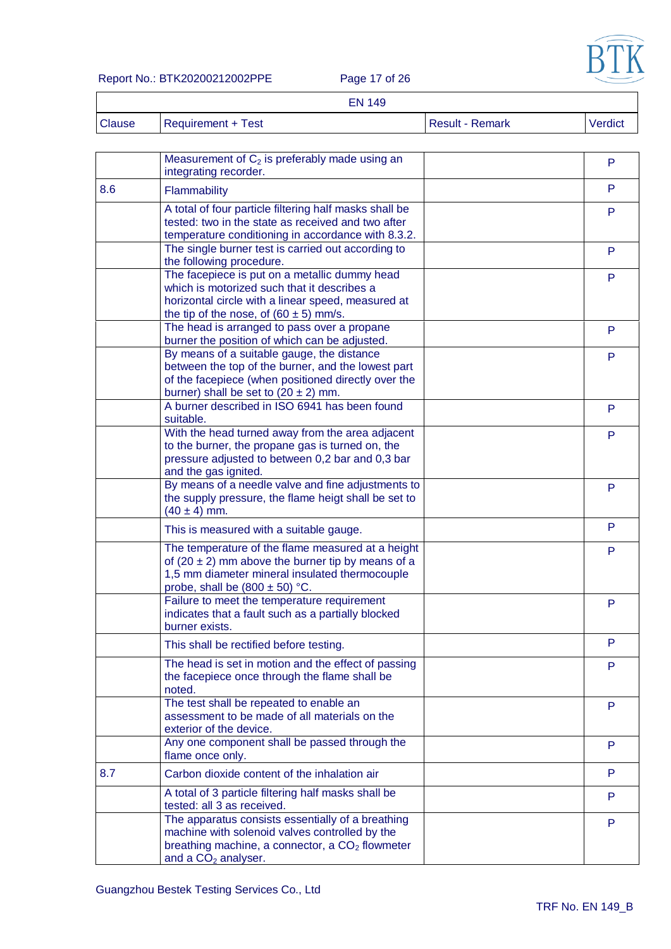

Report No.: BTK20200212002PPE Page 17 of 26

|               | <b>EN 149</b>             |                        |         |
|---------------|---------------------------|------------------------|---------|
| <b>Clause</b> | <b>Requirement + Test</b> | <b>Result - Remark</b> | Verdict |

|     | Measurement of $C_2$ is preferably made using an<br>integrating recorder.                                                                                                                           | P |
|-----|-----------------------------------------------------------------------------------------------------------------------------------------------------------------------------------------------------|---|
| 8.6 | Flammability                                                                                                                                                                                        | P |
|     | A total of four particle filtering half masks shall be<br>tested: two in the state as received and two after<br>temperature conditioning in accordance with 8.3.2.                                  | P |
|     | The single burner test is carried out according to<br>the following procedure.                                                                                                                      | P |
|     | The facepiece is put on a metallic dummy head<br>which is motorized such that it describes a<br>horizontal circle with a linear speed, measured at<br>the tip of the nose, of $(60 \pm 5)$ mm/s.    | P |
|     | The head is arranged to pass over a propane<br>burner the position of which can be adjusted.                                                                                                        | P |
|     | By means of a suitable gauge, the distance<br>between the top of the burner, and the lowest part<br>of the facepiece (when positioned directly over the<br>burner) shall be set to $(20 \pm 2)$ mm. | P |
|     | A burner described in ISO 6941 has been found<br>suitable.                                                                                                                                          | P |
|     | With the head turned away from the area adjacent<br>to the burner, the propane gas is turned on, the<br>pressure adjusted to between 0,2 bar and 0,3 bar<br>and the gas ignited.                    | P |
|     | By means of a needle valve and fine adjustments to<br>the supply pressure, the flame heigt shall be set to<br>$(40 \pm 4)$ mm.                                                                      | P |
|     | This is measured with a suitable gauge.                                                                                                                                                             | P |
|     | The temperature of the flame measured at a height<br>of $(20 \pm 2)$ mm above the burner tip by means of a<br>1,5 mm diameter mineral insulated thermocouple<br>probe, shall be $(800 \pm 50)$ °C.  | P |
|     | Failure to meet the temperature requirement<br>indicates that a fault such as a partially blocked<br>burner exists.                                                                                 | P |
|     | This shall be rectified before testing.                                                                                                                                                             | P |
|     | The head is set in motion and the effect of passing<br>the facepiece once through the flame shall be<br>noted.                                                                                      | P |
|     | The test shall be repeated to enable an<br>assessment to be made of all materials on the<br>exterior of the device.                                                                                 | P |
|     | Any one component shall be passed through the<br>flame once only.                                                                                                                                   | P |
| 8.7 | Carbon dioxide content of the inhalation air                                                                                                                                                        | P |
|     | A total of 3 particle filtering half masks shall be<br>tested: all 3 as received.                                                                                                                   | P |
|     | The apparatus consists essentially of a breathing<br>machine with solenoid valves controlled by the<br>breathing machine, a connector, a CO <sub>2</sub> flowmeter<br>and a $CO2$ analyser.         | P |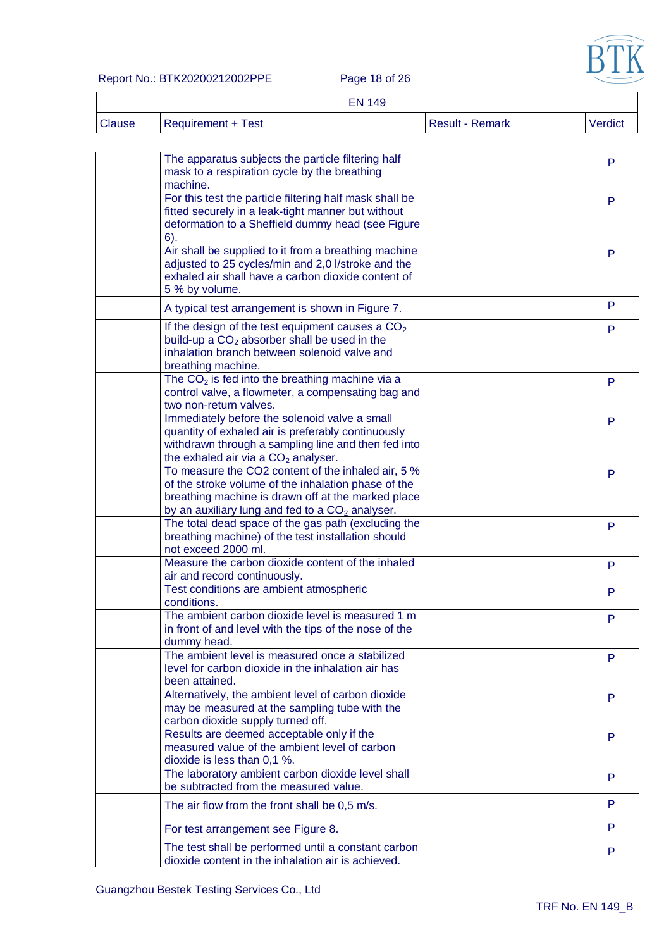

#### Report No.: BTK20200212002PPE Page 18 of 26

|               | <b>EN 149</b>             |                        |         |
|---------------|---------------------------|------------------------|---------|
| <b>Clause</b> | <b>Requirement + Test</b> | <b>Result - Remark</b> | Verdict |

| The apparatus subjects the particle filtering half<br>mask to a respiration cycle by the breathing<br>machine.                                                                                                                 | P |
|--------------------------------------------------------------------------------------------------------------------------------------------------------------------------------------------------------------------------------|---|
| For this test the particle filtering half mask shall be<br>fitted securely in a leak-tight manner but without<br>deformation to a Sheffield dummy head (see Figure<br>6).                                                      | P |
| Air shall be supplied to it from a breathing machine<br>adjusted to 25 cycles/min and 2,0 l/stroke and the<br>exhaled air shall have a carbon dioxide content of<br>5 % by volume.                                             | P |
| A typical test arrangement is shown in Figure 7.                                                                                                                                                                               | P |
| If the design of the test equipment causes a $CO2$<br>build-up a $CO2$ absorber shall be used in the<br>inhalation branch between solenoid valve and<br>breathing machine.                                                     | P |
| The $CO2$ is fed into the breathing machine via a<br>control valve, a flowmeter, a compensating bag and<br>two non-return valves.                                                                                              | P |
| Immediately before the solenoid valve a small<br>quantity of exhaled air is preferably continuously<br>withdrawn through a sampling line and then fed into<br>the exhaled air via a CO <sub>2</sub> analyser.                  | P |
| To measure the CO2 content of the inhaled air, 5 %<br>of the stroke volume of the inhalation phase of the<br>breathing machine is drawn off at the marked place<br>by an auxiliary lung and fed to a CO <sub>2</sub> analyser. | P |
| The total dead space of the gas path (excluding the<br>breathing machine) of the test installation should<br>not exceed 2000 ml.                                                                                               | P |
| Measure the carbon dioxide content of the inhaled<br>air and record continuously.                                                                                                                                              | P |
| Test conditions are ambient atmospheric<br>conditions.                                                                                                                                                                         | P |
| The ambient carbon dioxide level is measured 1 m<br>in front of and level with the tips of the nose of the<br>dummy head.                                                                                                      | P |
| The ambient level is measured once a stabilized<br>level for carbon dioxide in the inhalation air has<br>been attained.                                                                                                        | P |
| Alternatively, the ambient level of carbon dioxide<br>may be measured at the sampling tube with the<br>carbon dioxide supply turned off.                                                                                       | P |
| Results are deemed acceptable only if the<br>measured value of the ambient level of carbon<br>dioxide is less than 0,1 %.                                                                                                      | P |
| The laboratory ambient carbon dioxide level shall<br>be subtracted from the measured value.                                                                                                                                    | P |
| The air flow from the front shall be 0,5 m/s.                                                                                                                                                                                  | P |
| For test arrangement see Figure 8.                                                                                                                                                                                             | P |
| The test shall be performed until a constant carbon<br>dioxide content in the inhalation air is achieved.                                                                                                                      | P |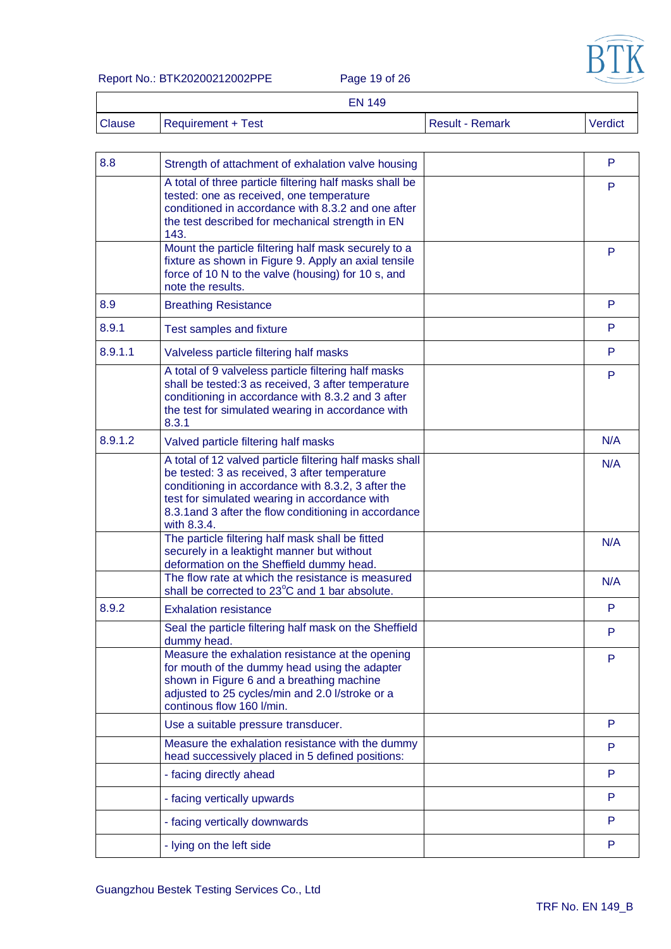

Report No.: BTK20200212002PPE Page 19 of 26

 $\overline{\Gamma}$ 

|               | <b>EN 149</b>      |                        |         |
|---------------|--------------------|------------------------|---------|
| <b>Clause</b> | Requirement + Test | <b>Result - Remark</b> | Verdict |

| A total of three particle filtering half masks shall be<br>P<br>tested: one as received, one temperature<br>conditioned in accordance with 8.3.2 and one after<br>the test described for mechanical strength in EN<br>143.<br>Mount the particle filtering half mask securely to a<br>P<br>fixture as shown in Figure 9. Apply an axial tensile<br>force of 10 N to the valve (housing) for 10 s, and<br>note the results.<br>P<br><b>Breathing Resistance</b><br>P<br>Test samples and fixture<br>P<br>Valveless particle filtering half masks<br>A total of 9 valveless particle filtering half masks<br>P<br>shall be tested:3 as received, 3 after temperature<br>conditioning in accordance with 8.3.2 and 3 after<br>the test for simulated wearing in accordance with<br>8.3.1<br>N/A<br>Valved particle filtering half masks<br>A total of 12 valved particle filtering half masks shall<br>N/A<br>be tested: 3 as received, 3 after temperature<br>conditioning in accordance with 8.3.2, 3 after the<br>test for simulated wearing in accordance with<br>8.3.1 and 3 after the flow conditioning in accordance<br>with 8.3.4.<br>The particle filtering half mask shall be fitted<br>N/A<br>securely in a leaktight manner but without<br>deformation on the Sheffield dummy head.<br>The flow rate at which the resistance is measured<br>N/A<br>shall be corrected to 23°C and 1 bar absolute.<br>P<br><b>Exhalation resistance</b><br>Seal the particle filtering half mask on the Sheffield<br>P<br>dummy head.<br>Measure the exhalation resistance at the opening<br>P<br>for mouth of the dummy head using the adapter<br>shown in Figure 6 and a breathing machine<br>adjusted to 25 cycles/min and 2.0 l/stroke or a<br>continous flow 160 l/min.<br>P<br>Use a suitable pressure transducer.<br>Measure the exhalation resistance with the dummy<br>P<br>head successively placed in 5 defined positions:<br>P<br>- facing directly ahead<br>P<br>- facing vertically upwards<br>P<br>- facing vertically downwards | 8.8     | Strength of attachment of exhalation valve housing | P |
|-----------------------------------------------------------------------------------------------------------------------------------------------------------------------------------------------------------------------------------------------------------------------------------------------------------------------------------------------------------------------------------------------------------------------------------------------------------------------------------------------------------------------------------------------------------------------------------------------------------------------------------------------------------------------------------------------------------------------------------------------------------------------------------------------------------------------------------------------------------------------------------------------------------------------------------------------------------------------------------------------------------------------------------------------------------------------------------------------------------------------------------------------------------------------------------------------------------------------------------------------------------------------------------------------------------------------------------------------------------------------------------------------------------------------------------------------------------------------------------------------------------------------------------------------------------------------------------------------------------------------------------------------------------------------------------------------------------------------------------------------------------------------------------------------------------------------------------------------------------------------------------------------------------------------------------------------------------------------------------------------------------------------------------------|---------|----------------------------------------------------|---|
|                                                                                                                                                                                                                                                                                                                                                                                                                                                                                                                                                                                                                                                                                                                                                                                                                                                                                                                                                                                                                                                                                                                                                                                                                                                                                                                                                                                                                                                                                                                                                                                                                                                                                                                                                                                                                                                                                                                                                                                                                                         |         |                                                    |   |
|                                                                                                                                                                                                                                                                                                                                                                                                                                                                                                                                                                                                                                                                                                                                                                                                                                                                                                                                                                                                                                                                                                                                                                                                                                                                                                                                                                                                                                                                                                                                                                                                                                                                                                                                                                                                                                                                                                                                                                                                                                         |         |                                                    |   |
|                                                                                                                                                                                                                                                                                                                                                                                                                                                                                                                                                                                                                                                                                                                                                                                                                                                                                                                                                                                                                                                                                                                                                                                                                                                                                                                                                                                                                                                                                                                                                                                                                                                                                                                                                                                                                                                                                                                                                                                                                                         | 8.9     |                                                    |   |
|                                                                                                                                                                                                                                                                                                                                                                                                                                                                                                                                                                                                                                                                                                                                                                                                                                                                                                                                                                                                                                                                                                                                                                                                                                                                                                                                                                                                                                                                                                                                                                                                                                                                                                                                                                                                                                                                                                                                                                                                                                         | 8.9.1   |                                                    |   |
|                                                                                                                                                                                                                                                                                                                                                                                                                                                                                                                                                                                                                                                                                                                                                                                                                                                                                                                                                                                                                                                                                                                                                                                                                                                                                                                                                                                                                                                                                                                                                                                                                                                                                                                                                                                                                                                                                                                                                                                                                                         | 8.9.1.1 |                                                    |   |
|                                                                                                                                                                                                                                                                                                                                                                                                                                                                                                                                                                                                                                                                                                                                                                                                                                                                                                                                                                                                                                                                                                                                                                                                                                                                                                                                                                                                                                                                                                                                                                                                                                                                                                                                                                                                                                                                                                                                                                                                                                         |         |                                                    |   |
|                                                                                                                                                                                                                                                                                                                                                                                                                                                                                                                                                                                                                                                                                                                                                                                                                                                                                                                                                                                                                                                                                                                                                                                                                                                                                                                                                                                                                                                                                                                                                                                                                                                                                                                                                                                                                                                                                                                                                                                                                                         | 8.9.1.2 |                                                    |   |
|                                                                                                                                                                                                                                                                                                                                                                                                                                                                                                                                                                                                                                                                                                                                                                                                                                                                                                                                                                                                                                                                                                                                                                                                                                                                                                                                                                                                                                                                                                                                                                                                                                                                                                                                                                                                                                                                                                                                                                                                                                         |         |                                                    |   |
|                                                                                                                                                                                                                                                                                                                                                                                                                                                                                                                                                                                                                                                                                                                                                                                                                                                                                                                                                                                                                                                                                                                                                                                                                                                                                                                                                                                                                                                                                                                                                                                                                                                                                                                                                                                                                                                                                                                                                                                                                                         |         |                                                    |   |
|                                                                                                                                                                                                                                                                                                                                                                                                                                                                                                                                                                                                                                                                                                                                                                                                                                                                                                                                                                                                                                                                                                                                                                                                                                                                                                                                                                                                                                                                                                                                                                                                                                                                                                                                                                                                                                                                                                                                                                                                                                         |         |                                                    |   |
|                                                                                                                                                                                                                                                                                                                                                                                                                                                                                                                                                                                                                                                                                                                                                                                                                                                                                                                                                                                                                                                                                                                                                                                                                                                                                                                                                                                                                                                                                                                                                                                                                                                                                                                                                                                                                                                                                                                                                                                                                                         | 8.9.2   |                                                    |   |
|                                                                                                                                                                                                                                                                                                                                                                                                                                                                                                                                                                                                                                                                                                                                                                                                                                                                                                                                                                                                                                                                                                                                                                                                                                                                                                                                                                                                                                                                                                                                                                                                                                                                                                                                                                                                                                                                                                                                                                                                                                         |         |                                                    |   |
|                                                                                                                                                                                                                                                                                                                                                                                                                                                                                                                                                                                                                                                                                                                                                                                                                                                                                                                                                                                                                                                                                                                                                                                                                                                                                                                                                                                                                                                                                                                                                                                                                                                                                                                                                                                                                                                                                                                                                                                                                                         |         |                                                    |   |
|                                                                                                                                                                                                                                                                                                                                                                                                                                                                                                                                                                                                                                                                                                                                                                                                                                                                                                                                                                                                                                                                                                                                                                                                                                                                                                                                                                                                                                                                                                                                                                                                                                                                                                                                                                                                                                                                                                                                                                                                                                         |         |                                                    |   |
|                                                                                                                                                                                                                                                                                                                                                                                                                                                                                                                                                                                                                                                                                                                                                                                                                                                                                                                                                                                                                                                                                                                                                                                                                                                                                                                                                                                                                                                                                                                                                                                                                                                                                                                                                                                                                                                                                                                                                                                                                                         |         |                                                    |   |
|                                                                                                                                                                                                                                                                                                                                                                                                                                                                                                                                                                                                                                                                                                                                                                                                                                                                                                                                                                                                                                                                                                                                                                                                                                                                                                                                                                                                                                                                                                                                                                                                                                                                                                                                                                                                                                                                                                                                                                                                                                         |         |                                                    |   |
|                                                                                                                                                                                                                                                                                                                                                                                                                                                                                                                                                                                                                                                                                                                                                                                                                                                                                                                                                                                                                                                                                                                                                                                                                                                                                                                                                                                                                                                                                                                                                                                                                                                                                                                                                                                                                                                                                                                                                                                                                                         |         |                                                    |   |
|                                                                                                                                                                                                                                                                                                                                                                                                                                                                                                                                                                                                                                                                                                                                                                                                                                                                                                                                                                                                                                                                                                                                                                                                                                                                                                                                                                                                                                                                                                                                                                                                                                                                                                                                                                                                                                                                                                                                                                                                                                         |         |                                                    |   |
|                                                                                                                                                                                                                                                                                                                                                                                                                                                                                                                                                                                                                                                                                                                                                                                                                                                                                                                                                                                                                                                                                                                                                                                                                                                                                                                                                                                                                                                                                                                                                                                                                                                                                                                                                                                                                                                                                                                                                                                                                                         |         | - lying on the left side                           | P |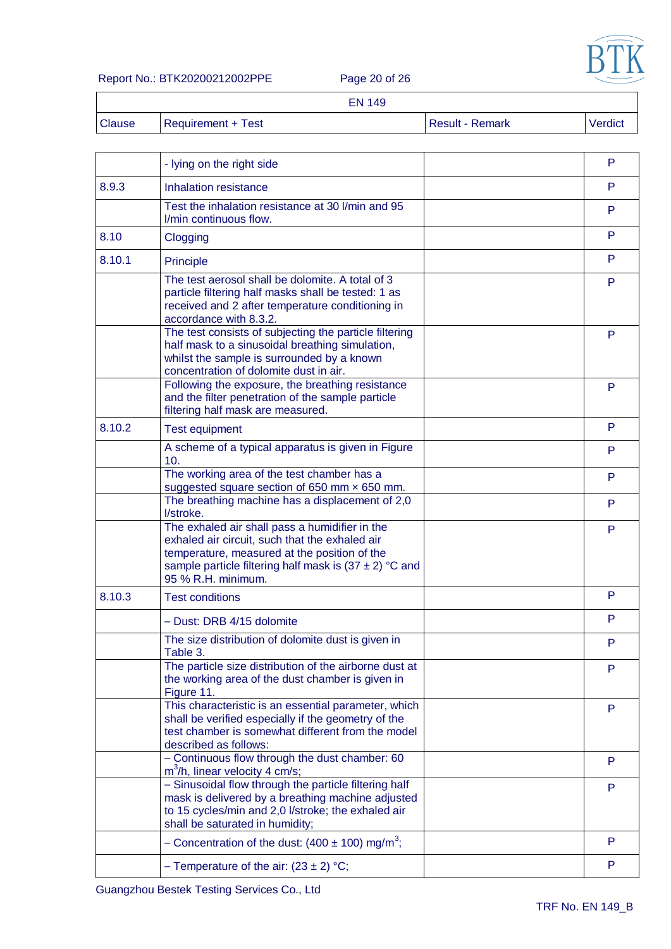

#### Report No.: BTK20200212002PPE Page 20 of 26

'n

|               | <b>EN 149</b>      |                        |         |
|---------------|--------------------|------------------------|---------|
| <b>Clause</b> | Requirement + Test | <b>Result - Remark</b> | Verdict |

|        | - lying on the right side                                                                                                                                                                                                            | P |
|--------|--------------------------------------------------------------------------------------------------------------------------------------------------------------------------------------------------------------------------------------|---|
| 8.9.3  | Inhalation resistance                                                                                                                                                                                                                | P |
|        | Test the inhalation resistance at 30 I/min and 95<br>I/min continuous flow.                                                                                                                                                          | P |
| 8.10   | Clogging                                                                                                                                                                                                                             | P |
| 8.10.1 | Principle                                                                                                                                                                                                                            | P |
|        | The test aerosol shall be dolomite. A total of 3<br>particle filtering half masks shall be tested: 1 as<br>received and 2 after temperature conditioning in<br>accordance with 8.3.2.                                                | P |
|        | The test consists of subjecting the particle filtering<br>half mask to a sinusoidal breathing simulation,<br>whilst the sample is surrounded by a known<br>concentration of dolomite dust in air.                                    | P |
|        | Following the exposure, the breathing resistance<br>and the filter penetration of the sample particle<br>filtering half mask are measured.                                                                                           | P |
| 8.10.2 | <b>Test equipment</b>                                                                                                                                                                                                                | P |
|        | A scheme of a typical apparatus is given in Figure<br>10.                                                                                                                                                                            | P |
|        | The working area of the test chamber has a<br>suggested square section of 650 mm x 650 mm.                                                                                                                                           | P |
|        | The breathing machine has a displacement of 2,0<br>l/stroke.                                                                                                                                                                         | P |
|        | The exhaled air shall pass a humidifier in the<br>exhaled air circuit, such that the exhaled air<br>temperature, measured at the position of the<br>sample particle filtering half mask is $(37 \pm 2)$ °C and<br>95 % R.H. minimum. | P |
| 8.10.3 | <b>Test conditions</b>                                                                                                                                                                                                               | P |
|        | - Dust: DRB 4/15 dolomite                                                                                                                                                                                                            | P |
|        | The size distribution of dolomite dust is given in<br>Table 3.                                                                                                                                                                       | P |
|        | The particle size distribution of the airborne dust at<br>the working area of the dust chamber is given in<br>Figure 11.                                                                                                             | P |
|        | This characteristic is an essential parameter, which<br>shall be verified especially if the geometry of the<br>test chamber is somewhat different from the model<br>described as follows:                                            | P |
|        | - Continuous flow through the dust chamber: 60<br>m <sup>3</sup> /h, linear velocity 4 cm/s;                                                                                                                                         | P |
|        | - Sinusoidal flow through the particle filtering half<br>mask is delivered by a breathing machine adjusted<br>to 15 cycles/min and 2,0 l/stroke; the exhaled air<br>shall be saturated in humidity;                                  | P |
|        | - Concentration of the dust: $(400 \pm 100)$ mg/m <sup>3</sup> ;                                                                                                                                                                     | P |
|        |                                                                                                                                                                                                                                      |   |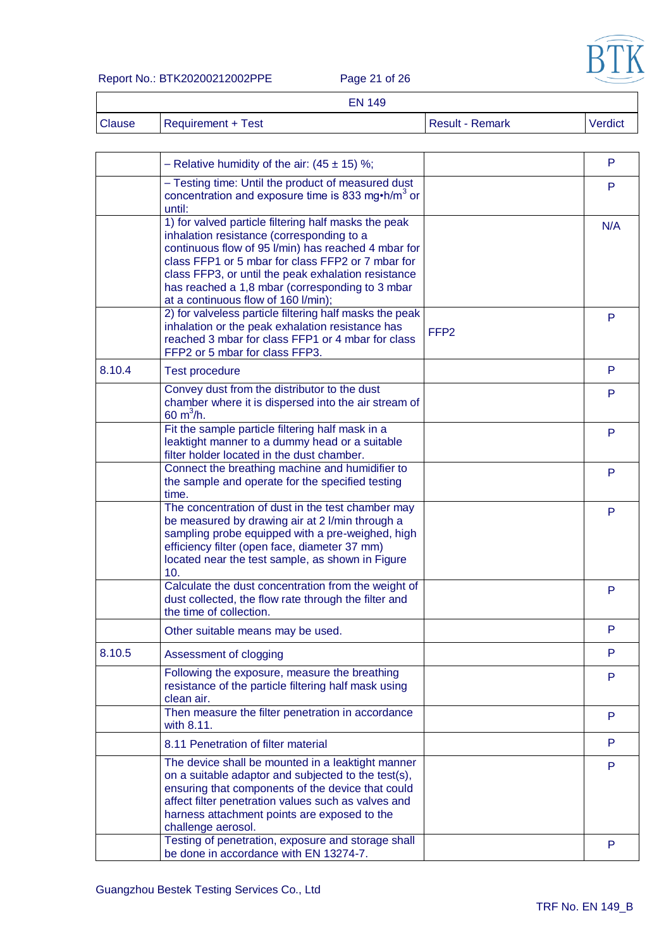

Report No.: BTK20200212002PPE Page 21 of 26

|               |                           | <b>EN 149</b> |                        |         |
|---------------|---------------------------|---------------|------------------------|---------|
| <b>Clause</b> | <b>Requirement + Test</b> |               | <b>Result - Remark</b> | Verdict |

|        | - Relative humidity of the air: $(45 \pm 15)$ %;                                                                                                                                                                                                                                                                                                               |                  | P   |
|--------|----------------------------------------------------------------------------------------------------------------------------------------------------------------------------------------------------------------------------------------------------------------------------------------------------------------------------------------------------------------|------------------|-----|
|        | - Testing time: Until the product of measured dust<br>concentration and exposure time is 833 mg $\cdot$ h/m <sup>3</sup> or<br>until:                                                                                                                                                                                                                          |                  | P   |
|        | 1) for valved particle filtering half masks the peak<br>inhalation resistance (corresponding to a<br>continuous flow of 95 l/min) has reached 4 mbar for<br>class FFP1 or 5 mbar for class FFP2 or 7 mbar for<br>class FFP3, or until the peak exhalation resistance<br>has reached a 1,8 mbar (corresponding to 3 mbar<br>at a continuous flow of 160 l/min); |                  | N/A |
|        | 2) for valveless particle filtering half masks the peak<br>inhalation or the peak exhalation resistance has<br>reached 3 mbar for class FFP1 or 4 mbar for class<br>FFP2 or 5 mbar for class FFP3.                                                                                                                                                             | FFP <sub>2</sub> | P   |
| 8.10.4 | <b>Test procedure</b>                                                                                                                                                                                                                                                                                                                                          |                  | P   |
|        | Convey dust from the distributor to the dust<br>chamber where it is dispersed into the air stream of<br>60 $m^3/h$ .                                                                                                                                                                                                                                           |                  | P   |
|        | Fit the sample particle filtering half mask in a<br>leaktight manner to a dummy head or a suitable<br>filter holder located in the dust chamber.                                                                                                                                                                                                               |                  | P   |
|        | Connect the breathing machine and humidifier to<br>the sample and operate for the specified testing<br>time.                                                                                                                                                                                                                                                   |                  | P   |
|        | The concentration of dust in the test chamber may<br>be measured by drawing air at 2 I/min through a<br>sampling probe equipped with a pre-weighed, high<br>efficiency filter (open face, diameter 37 mm)<br>located near the test sample, as shown in Figure<br>10.                                                                                           |                  | P   |
|        | Calculate the dust concentration from the weight of<br>dust collected, the flow rate through the filter and<br>the time of collection.                                                                                                                                                                                                                         |                  | P   |
|        | Other suitable means may be used.                                                                                                                                                                                                                                                                                                                              |                  | P   |
| 8.10.5 | Assessment of clogging                                                                                                                                                                                                                                                                                                                                         |                  | P   |
|        | Following the exposure, measure the breathing<br>resistance of the particle filtering half mask using<br>clean air.                                                                                                                                                                                                                                            |                  | P   |
|        | Then measure the filter penetration in accordance<br>with 8.11.                                                                                                                                                                                                                                                                                                |                  | P   |
|        | 8.11 Penetration of filter material                                                                                                                                                                                                                                                                                                                            |                  | P   |
|        | The device shall be mounted in a leaktight manner<br>on a suitable adaptor and subjected to the test(s),<br>ensuring that components of the device that could<br>affect filter penetration values such as valves and<br>harness attachment points are exposed to the<br>challenge aerosol.                                                                     |                  | P   |
|        | Testing of penetration, exposure and storage shall<br>be done in accordance with EN 13274-7.                                                                                                                                                                                                                                                                   |                  | P   |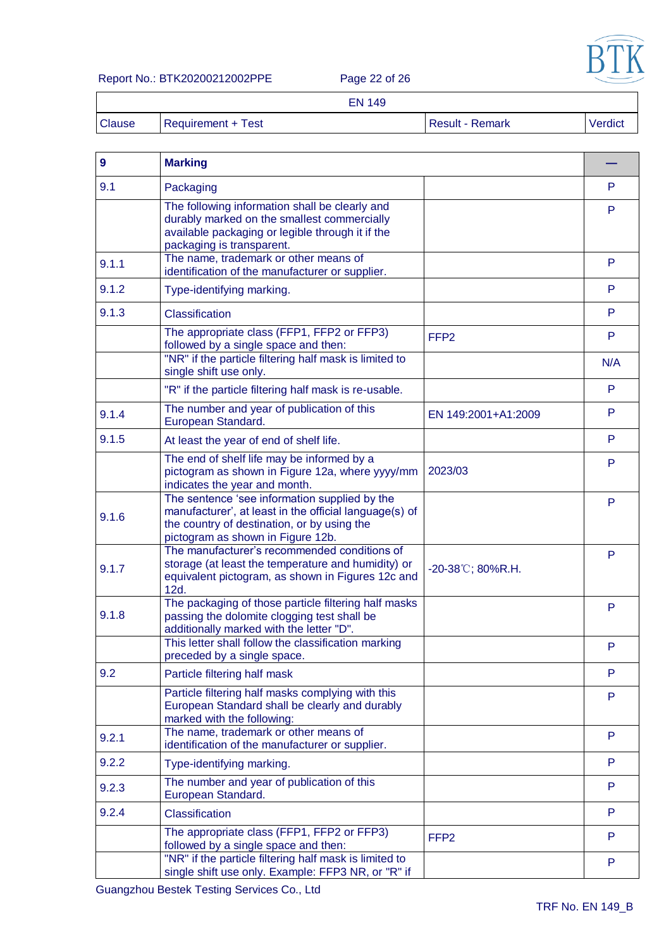

#### Report No.: BTK20200212002PPE Page 22 of 26

|               |                           | <b>EN 149</b> |                        |         |
|---------------|---------------------------|---------------|------------------------|---------|
| <b>Clause</b> | <b>Requirement + Test</b> |               | <b>Result - Remark</b> | Verdict |

| $\boldsymbol{9}$ | <b>Marking</b>                                                                                                                                                                              |                     |     |
|------------------|---------------------------------------------------------------------------------------------------------------------------------------------------------------------------------------------|---------------------|-----|
| 9.1              | Packaging                                                                                                                                                                                   |                     | P   |
|                  | The following information shall be clearly and<br>durably marked on the smallest commercially<br>available packaging or legible through it if the<br>packaging is transparent.              |                     | P   |
| 9.1.1            | The name, trademark or other means of<br>identification of the manufacturer or supplier.                                                                                                    |                     | P   |
| 9.1.2            | Type-identifying marking.                                                                                                                                                                   |                     | P.  |
| 9.1.3            | Classification                                                                                                                                                                              |                     | P   |
|                  | The appropriate class (FFP1, FFP2 or FFP3)<br>followed by a single space and then:                                                                                                          | FFP <sub>2</sub>    | P   |
|                  | "NR" if the particle filtering half mask is limited to<br>single shift use only.                                                                                                            |                     | N/A |
|                  | "R" if the particle filtering half mask is re-usable.                                                                                                                                       |                     | P   |
| 9.1.4            | The number and year of publication of this<br>European Standard.                                                                                                                            | EN 149:2001+A1:2009 | P   |
| 9.1.5            | At least the year of end of shelf life.                                                                                                                                                     |                     | P   |
|                  | The end of shelf life may be informed by a<br>pictogram as shown in Figure 12a, where yyyy/mm<br>indicates the year and month.                                                              | 2023/03             | P   |
| 9.1.6            | The sentence 'see information supplied by the<br>manufacturer', at least in the official language(s) of<br>the country of destination, or by using the<br>pictogram as shown in Figure 12b. |                     | P   |
| 9.1.7            | The manufacturer's recommended conditions of<br>storage (at least the temperature and humidity) or<br>equivalent pictogram, as shown in Figures 12c and<br>12d.                             | -20-38°C; 80%R.H.   | P   |
| 9.1.8            | The packaging of those particle filtering half masks<br>passing the dolomite clogging test shall be<br>additionally marked with the letter "D".                                             |                     | P   |
|                  | This letter shall follow the classification marking<br>preceded by a single space.                                                                                                          |                     | P   |
| 9.2              | Particle filtering half mask                                                                                                                                                                |                     | P   |
|                  | Particle filtering half masks complying with this<br>European Standard shall be clearly and durably<br>marked with the following:                                                           |                     | P   |
| 9.2.1            | The name, trademark or other means of<br>identification of the manufacturer or supplier.                                                                                                    |                     | P   |
| 9.2.2            | Type-identifying marking.                                                                                                                                                                   |                     | P   |
| 9.2.3            | The number and year of publication of this<br>European Standard.                                                                                                                            |                     | P   |
| 9.2.4            | Classification                                                                                                                                                                              |                     | P   |
|                  | The appropriate class (FFP1, FFP2 or FFP3)<br>followed by a single space and then:                                                                                                          | FFP <sub>2</sub>    | P.  |
|                  | "NR" if the particle filtering half mask is limited to<br>single shift use only. Example: FFP3 NR, or "R" if                                                                                |                     | P   |

Guangzhou Bestek Testing Services Co., Ltd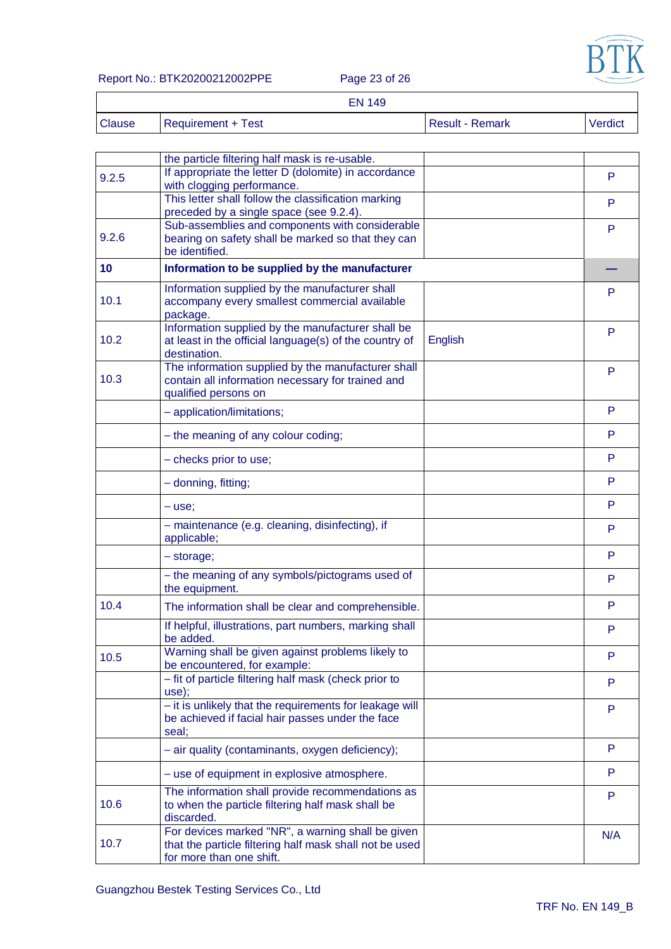

Report No.: BTK20200212002PPE Page 23 of 26

|        | <b>EN 149</b>      |                 |         |
|--------|--------------------|-----------------|---------|
| Clause | Requirement + Test | Result - Remark | Verdict |

| 9.2.5 | the particle filtering half mask is re-usable.<br>If appropriate the letter D (dolomite) in accordance                                   |         | P   |
|-------|------------------------------------------------------------------------------------------------------------------------------------------|---------|-----|
|       | with clogging performance.<br>This letter shall follow the classification marking                                                        |         |     |
|       | preceded by a single space (see 9.2.4).                                                                                                  |         | P   |
| 9.2.6 | Sub-assemblies and components with considerable                                                                                          |         | P   |
|       | bearing on safety shall be marked so that they can<br>be identified.                                                                     |         |     |
| 10    | Information to be supplied by the manufacturer                                                                                           |         |     |
| 10.1  | Information supplied by the manufacturer shall<br>accompany every smallest commercial available<br>package.                              |         | P   |
| 10.2  | Information supplied by the manufacturer shall be<br>at least in the official language(s) of the country of<br>destination.              | English | P   |
| 10.3  | The information supplied by the manufacturer shall<br>contain all information necessary for trained and<br>qualified persons on          |         | P   |
|       | - application/limitations;                                                                                                               |         | P   |
|       | - the meaning of any colour coding;                                                                                                      |         | P   |
|       | - checks prior to use;                                                                                                                   |         | P   |
|       | - donning, fitting;                                                                                                                      |         | P   |
|       | $-$ use;                                                                                                                                 |         | P   |
|       | - maintenance (e.g. cleaning, disinfecting), if<br>applicable;                                                                           |         | P   |
|       | - storage;                                                                                                                               |         | P   |
|       | - the meaning of any symbols/pictograms used of<br>the equipment.                                                                        |         | P   |
| 10.4  | The information shall be clear and comprehensible.                                                                                       |         | P   |
|       | If helpful, illustrations, part numbers, marking shall<br>be added.                                                                      |         | P   |
| 10.5  | Warning shall be given against problems likely to<br>be encountered, for example:                                                        |         | P   |
|       | - fit of particle filtering half mask (check prior to<br>use);                                                                           |         | P   |
|       | - it is unlikely that the requirements for leakage will<br>be achieved if facial hair passes under the face<br>seal;                     |         | P   |
|       | - air quality (contaminants, oxygen deficiency);                                                                                         |         | P   |
|       | - use of equipment in explosive atmosphere.                                                                                              |         | P   |
| 10.6  | The information shall provide recommendations as<br>to when the particle filtering half mask shall be<br>discarded.                      |         | P   |
| 10.7  | For devices marked "NR", a warning shall be given<br>that the particle filtering half mask shall not be used<br>for more than one shift. |         | N/A |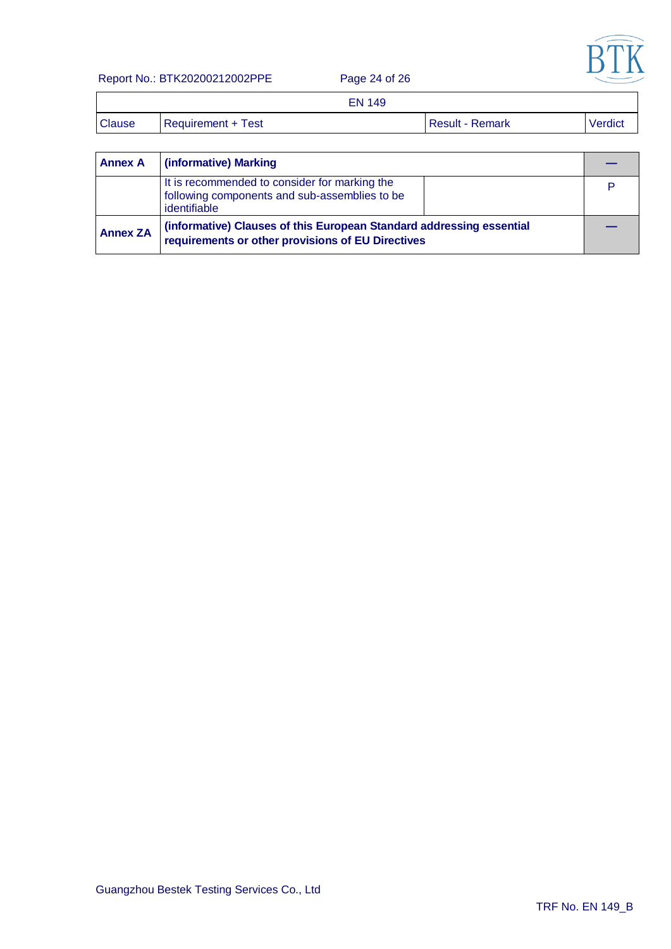

Report No.: BTK20200212002PPE Page 24 of 26

|               | <b>EN 149</b>      |                        |         |
|---------------|--------------------|------------------------|---------|
| <b>Clause</b> | Requirement + Test | <b>Result - Remark</b> | Verdict |

| <b>Annex A</b>  | (informative) Marking                                                                                                     |  |
|-----------------|---------------------------------------------------------------------------------------------------------------------------|--|
|                 | It is recommended to consider for marking the<br>following components and sub-assemblies to be<br>identifiable            |  |
| <b>Annex ZA</b> | (informative) Clauses of this European Standard addressing essential<br>requirements or other provisions of EU Directives |  |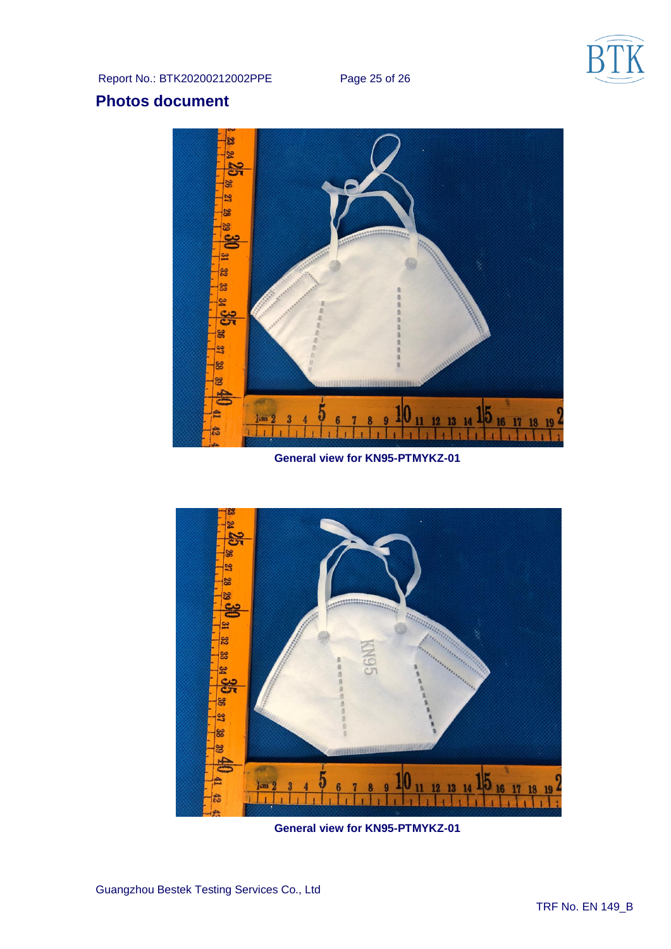

Report No.: BTK20200212002PPE Page 25 of 26

# **Photos document**



**General view for KN95-PTMYKZ-01**



**General view for KN95-PTMYKZ-01**